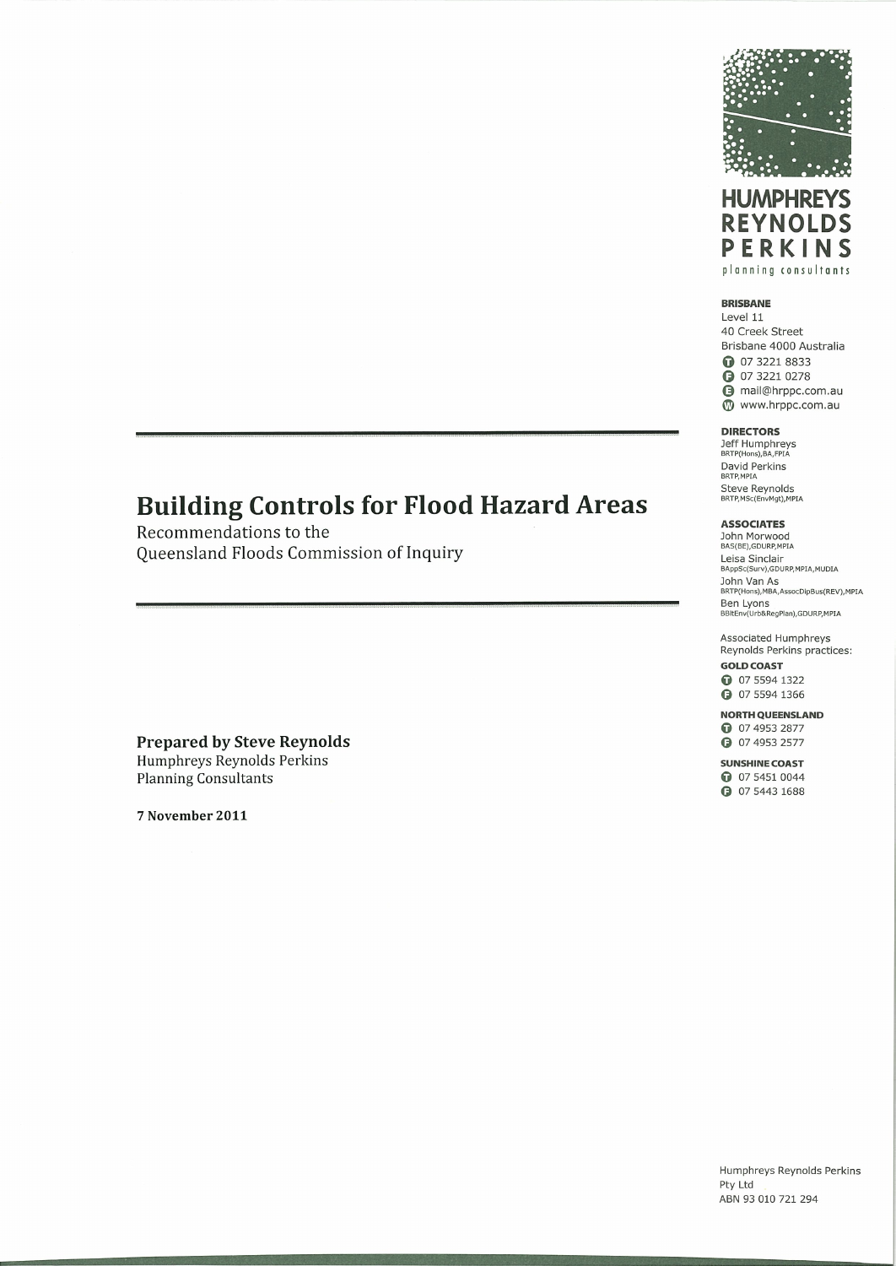



#### **BRISBANE**

Level 11 40 Creek Street Brisbane 4000 Australia **0** 07 3221 8833 **3** 07 3221 0278 mail@hrppc.com.au Www.hrppc.com.au

#### **DIRECTORS**

Jeff Humphreys David Perkins<br>BRTP, MPIA Steve Reynolds<br>BRTP, MSc(EnvMgt), MPIA

#### **ASSOCIATES**

John Morwood<br>BAS(BE), GDURP, MPIA Leisa Sinclair BAppSc(Surv),GDURP,MPIA,MUDIA John Van As<br>BRTP(Hons), MBA, AssocDipBus(REV), MPIA Ben Lyons<br>Ben Lyons<br>BBItEnv(Urb&RegPlan),GDURP,MPIA

Associated Humphreys Reynolds Perkins practices: **GOLD COAST** 

**0** 07 5594 1322 **a** 07 5594 1366

**NORTH QUEENSLAND** 

**0** 07 4953 2877 **3** 07 4953 2577

**SUNSHINE COAST** 

**0** 07 5451 0044 **a** 07 5443 1688

## **Building Controls for Flood Hazard Areas**

Recommendations to the Queensland Floods Commission of Inquiry

**Prepared by Steve Reynolds** Humphreys Reynolds Perkins **Planning Consultants** 

7 November 2011

Humphreys Reynolds Perkins Pty Ltd ABN 93 010 721 294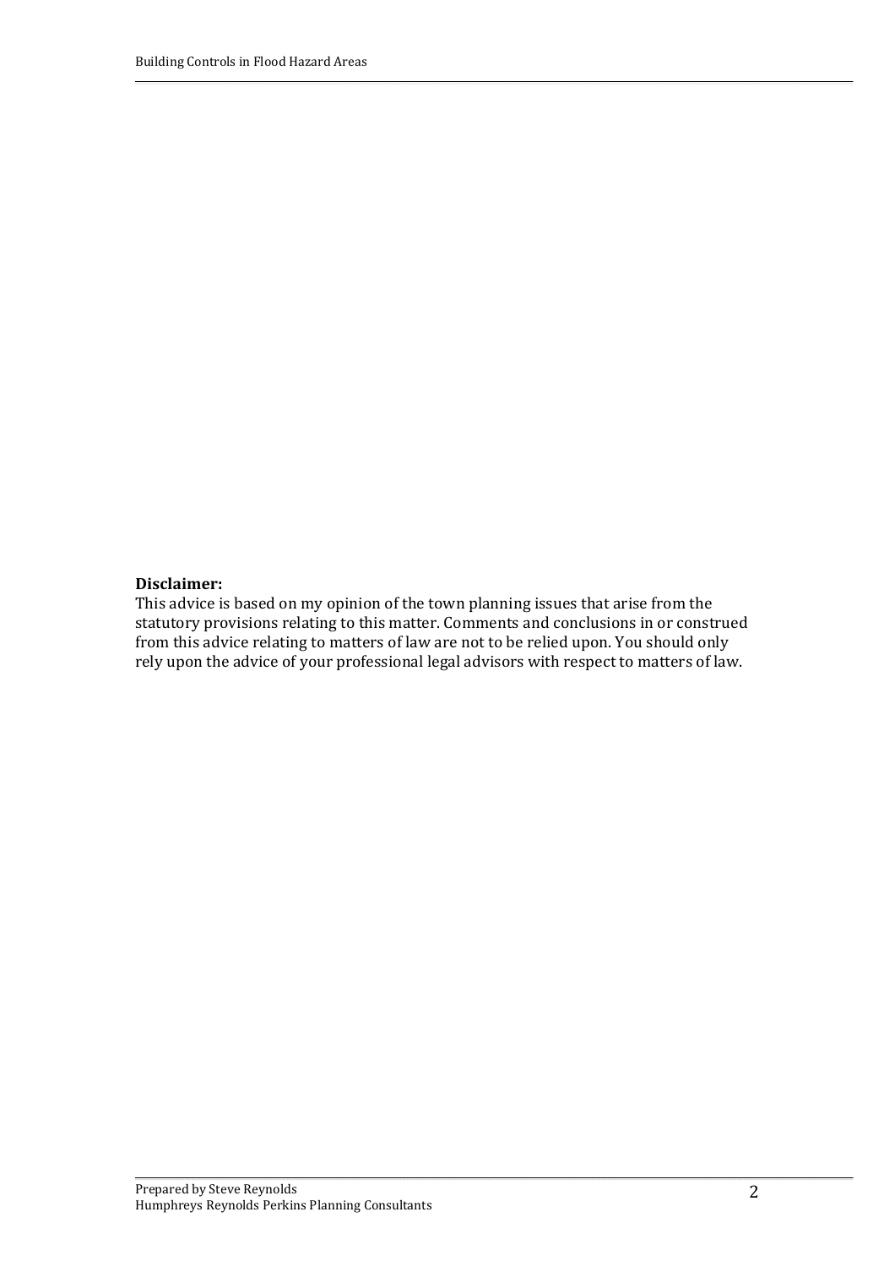#### **Disclaimer:**

This advice is based on my opinion of the town planning issues that arise from the statutory provisions relating to this matter. Comments and conclusions in or construed from this advice relating to matters of law are not to be relied upon. You should only rely upon the advice of your professional legal advisors with respect to matters of law.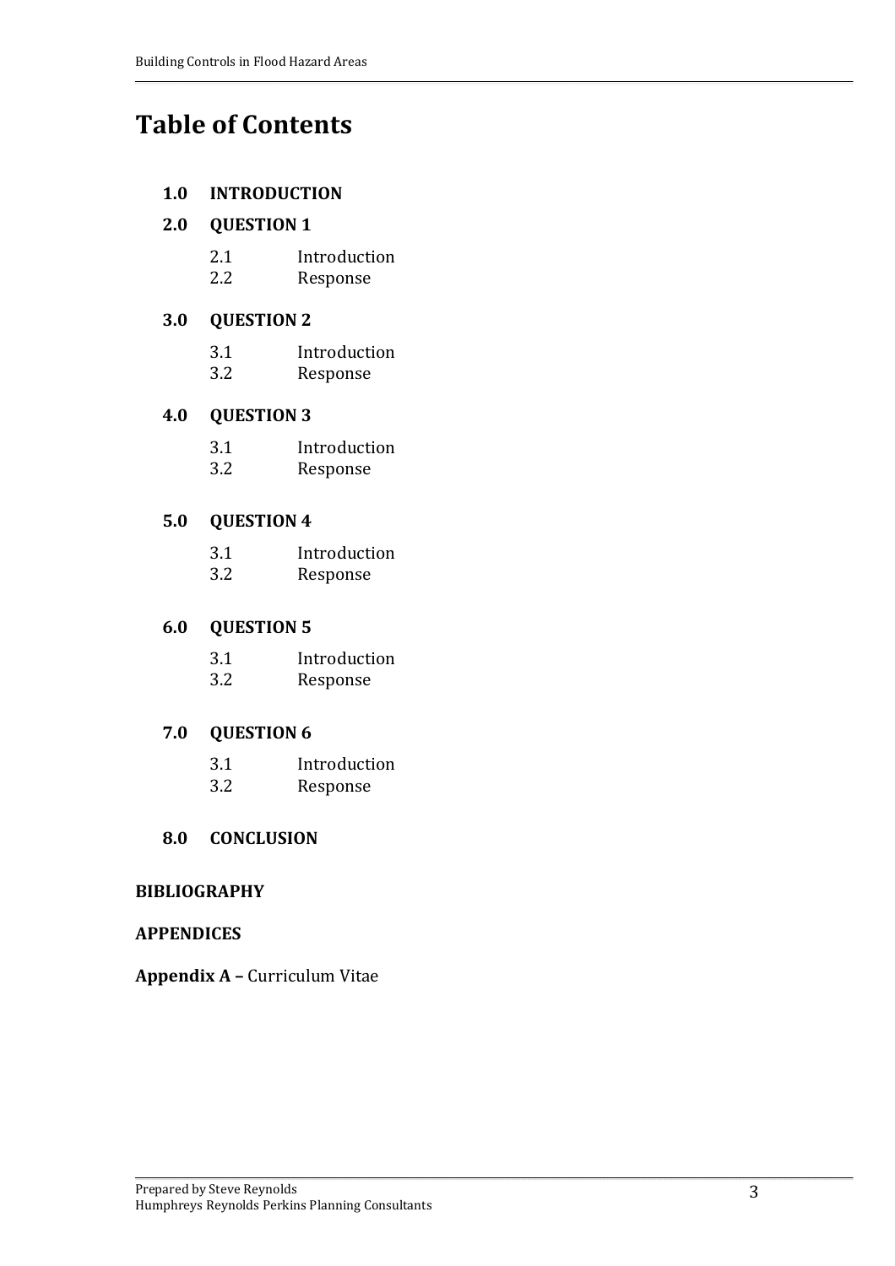# **Table of Contents**

#### **1.0 INTRODUCTION**

#### **2.0 QUESTION 1**

- 2.1 Introduction
- 2.2 Response

## **3.0 QUESTION 2**

- 3.1 Introduction
- 3.2 Response

## **4.0 QUESTION 3**

- 3.1 Introduction
- 3.2 Response

## **5.0 QUESTION 4**

- 3.1 Introduction
- 3.2 Response

### **6.0 QUESTION 5**

- 3.1 Introduction
- 3.2 Response

### **7.0 QUESTION 6**

- 3.1 Introduction
- 3.2 Response

### **8.0 CONCLUSION**

### **BIBLIOGRAPHY**

### **APPENDICES**

**Appendix A –** Curriculum Vitae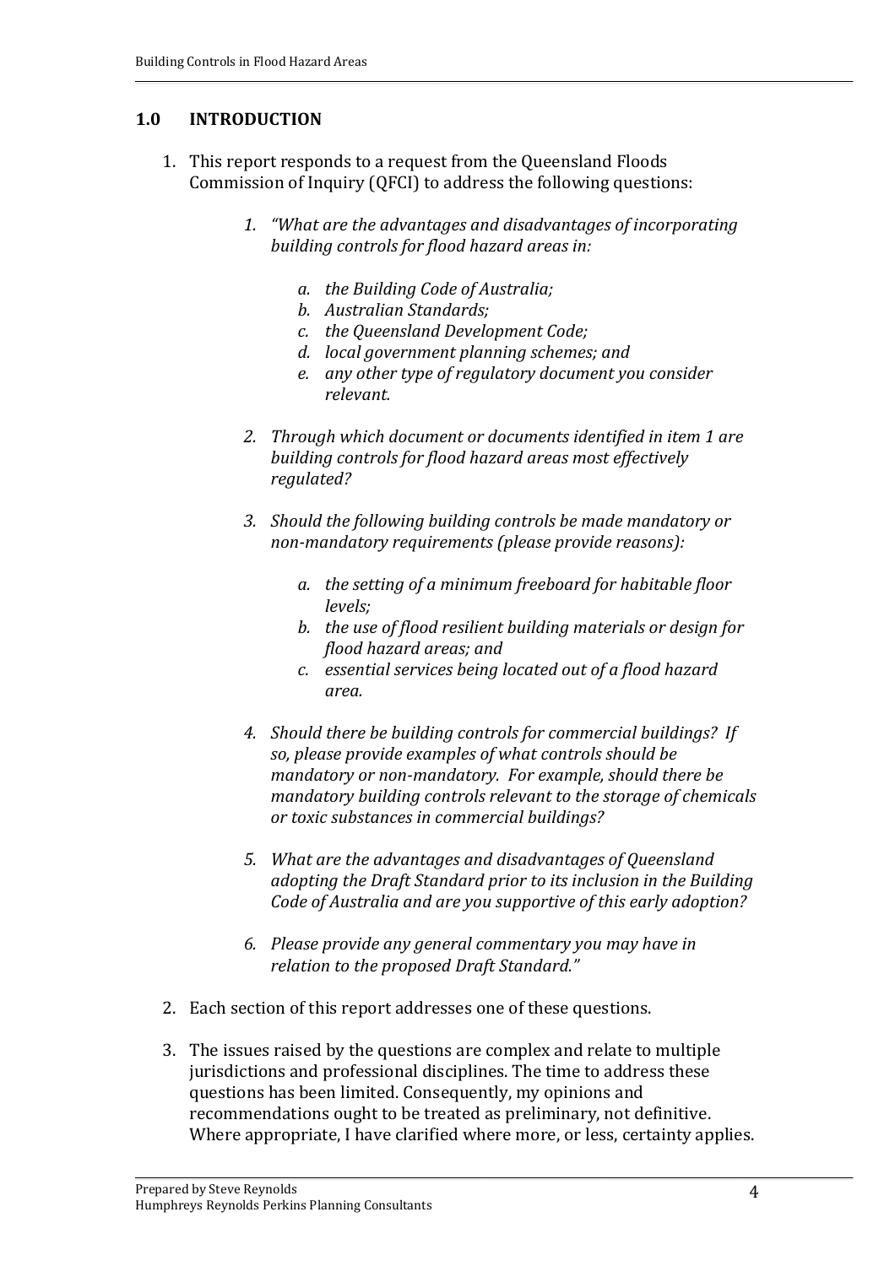### **1.0 INTRODUCTION**

- 1. This report responds to a request from the Queensland Floods Commission of Inquiry (QFCI) to address the following questions:
	- *1. "What are the advantages and disadvantages of incorporating building controls for flood hazard areas in:*
		- *a. the Building Code of Australia;*
		- *b. Australian Standards;*
		- *c. the Queensland Development Code;*
		- *d. local government planning schemes; and*
		- *e. any other type of regulatory document you consider relevant.*
	- *2. Through which document or documents identified in item 1 are building controls for flood hazard areas most effectively regulated?*
	- *3. Should the following building controls be made mandatory or nonmandatory requirements (please provide reasons):*
		- *a. the setting of a minimum freeboard for habitable floor levels;*
		- *b. the use of flood resilient building materials or design for flood hazard areas; and*
		- *c. essential services being located out of a flood hazard area.*
	- *4. Should there be building controls for commercial buildings? If so, please provide examples of what controls should be mandatory or nonmandatory. For example, should there be mandatory building controls relevant to the storage of chemicals or toxic substances in commercial buildings?*
	- *5. What are the advantages and disadvantages of Queensland adopting the Draft Standard prior to its inclusion in the Building Code of Australia and are you supportive of this early adoption?*
	- *6. Please provide any general commentary you may have in relation to the proposed Draft Standard."*
- 2. Each section of this report addresses one of these questions.
- 3. The issues raised by the questions are complex and relate to multiple jurisdictions and professional disciplines. The time to address these questions has been limited. Consequently, my opinions and recommendations ought to be treated as preliminary, not definitive. Where appropriate, I have clarified where more, or less, certainty applies.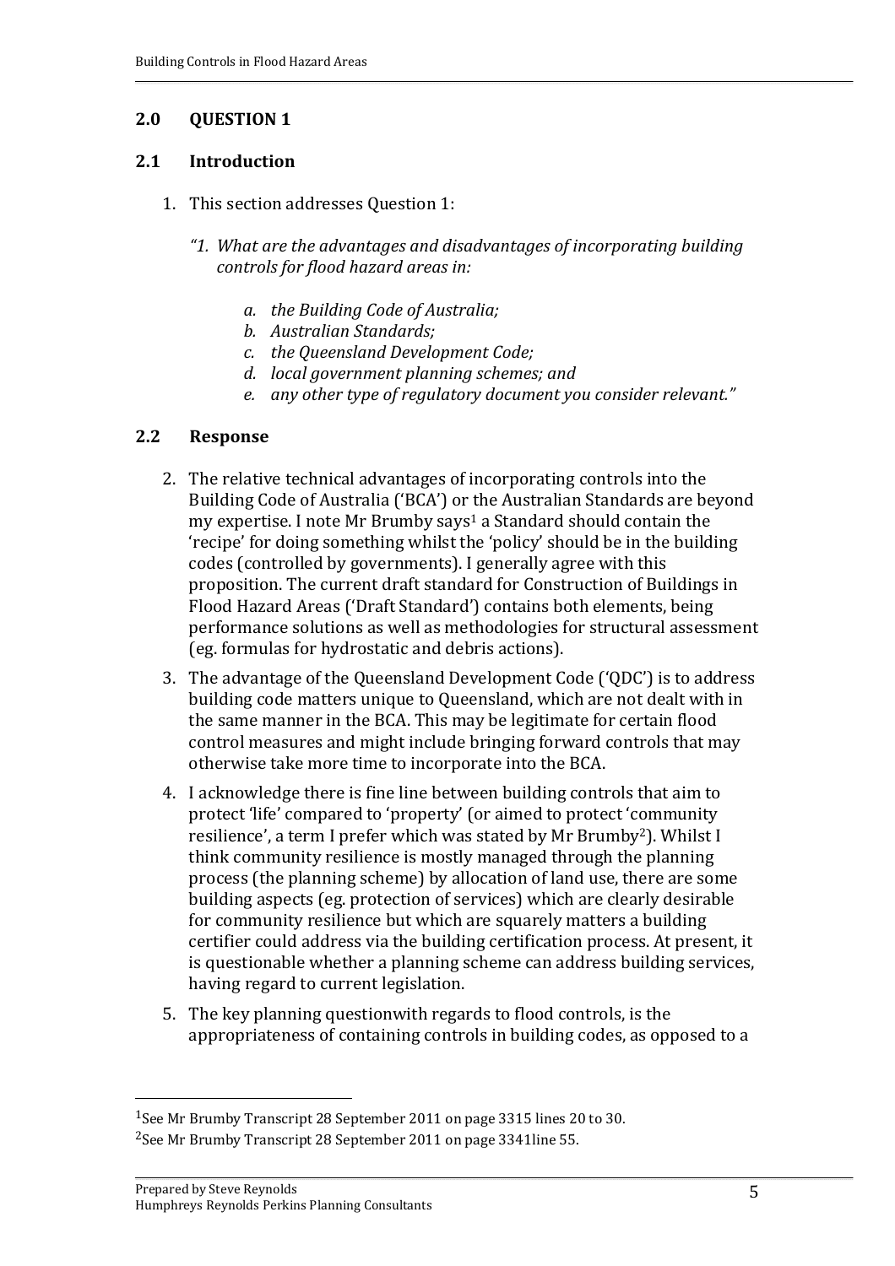#### **2.1 Introduction**

- 1. This section addresses Question 1:
	- *"1. What are the advantages and disadvantages of incorporating building controls for flood hazard areas in:*
		- *a. the Building Code of Australia;*
		- *b. Australian Standards;*
		- *c. the Queensland Development Code;*
		- *d. local government planning schemes; and*
		- *e. any other type of regulatory document you consider relevant."*

#### **2.2 Response**

- 2. The relative technical advantages of incorporating controls into the Building Code of Australia ('BCA') or the Australian Standards are beyond my expertise. I note Mr Brumby says<sup>1</sup> a Standard should contain the 'recipe' for doing something whilst the 'policy' should be in the building codes (controlled by governments). I generally agree with this proposition. The current draft standard for Construction of Buildings in Flood Hazard Areas ('Draft Standard') contains both elements, being performance solutions as well as methodologies for structural assessment (eg. formulas for hydrostatic and debris actions).
- 3. The advantage of the Queensland Development Code ('QDC') is to address building code matters unique to Queensland, which are not dealt with in the same manner in the BCA. This may be legitimate for certain flood control measures and might include bringing forward controls that may otherwise take more time to incorporate into the BCA.
- 4. I acknowledge there is fine line between building controls that aim to protect 'life' compared to 'property' (or aimed to protect 'community resilience', a term I prefer which was stated by Mr Brumby2). Whilst I think community resilience is mostly managed through the planning process (the planning scheme) by allocation of land use, there are some building aspects (eg. protection of services) which are clearly desirable for community resilience but which are squarely matters a building certifier could address via the building certification process. At present, it is questionable whether a planning scheme can address building services, having regard to current legislation.
- 5. The key planning questionwith regards to flood controls, is the appropriateness of containing controls in building codes, as opposed to a

<sup>1</sup>See Mr Brumby Transcript 28 September 2011 on page 3315 lines 20 to 30. 2See Mr Brumby Transcript 28 September 2011 on page 3341line 55.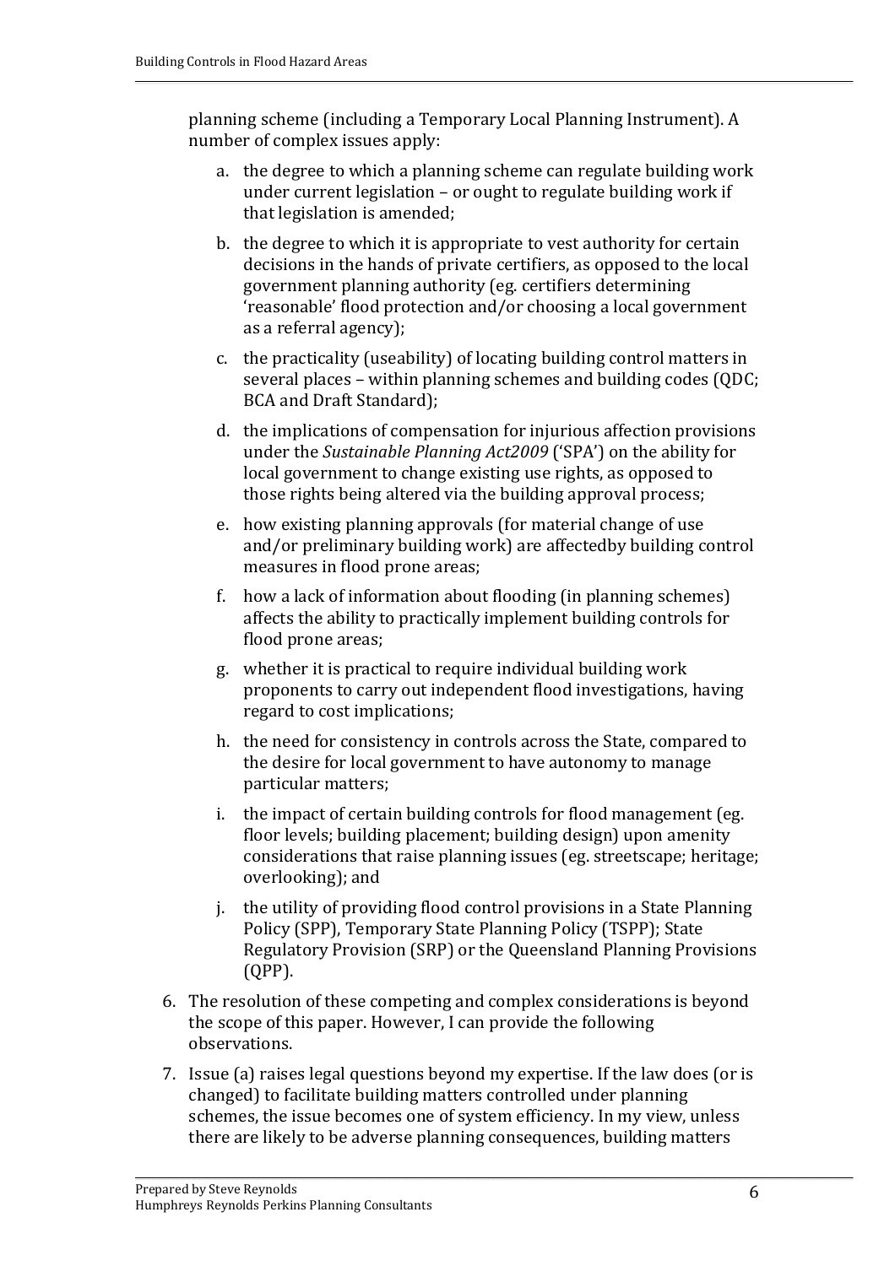planning scheme (including a Temporary Local Planning Instrument). A number of complex issues apply:

- a. the degree to which a planning scheme can regulate building work under current legislation – or ought to regulate building work if that legislation is amended;
- b. the degree to which it is appropriate to vest authority for certain decisions in the hands of private certifiers, as opposed to the local government planning authority (eg. certifiers determining 'reasonable' flood protection and/or choosing a local government as a referral agency);
- c. the practicality (useability) of locating building control matters in several places – within planning schemes and building codes (QDC; BCA and Draft Standard);
- d. the implications of compensation for injurious affection provisions under the *Sustainable Planning Act2009* ('SPA') on the ability for local government to change existing use rights, as opposed to those rights being altered via the building approval process;
- e. how existing planning approvals (for material change of use and/or preliminary building work) are affectedby building control measures in flood prone areas;
- f. how a lack of information about flooding (in planning schemes) affects the ability to practically implement building controls for flood prone areas;
- g. whether it is practical to require individual building work proponents to carry out independent flood investigations, having regard to cost implications;
- h. the need for consistency in controls across the State, compared to the desire for local government to have autonomy to manage particular matters;
- i. the impact of certain building controls for flood management (eg. floor levels; building placement; building design) upon amenity considerations that raise planning issues (eg. streetscape; heritage; overlooking); and
- j. the utility of providing flood control provisions in a State Planning Policy (SPP), Temporary State Planning Policy (TSPP); State Regulatory Provision (SRP) or the Queensland Planning Provisions (QPP).
- 6. The resolution of these competing and complex considerations is beyond the scope of this paper. However, I can provide the following observations.
- 7. Issue (a) raises legal questions beyond my expertise. If the law does (or is changed) to facilitate building matters controlled under planning schemes, the issue becomes one of system efficiency. In my view, unless there are likely to be adverse planning consequences, building matters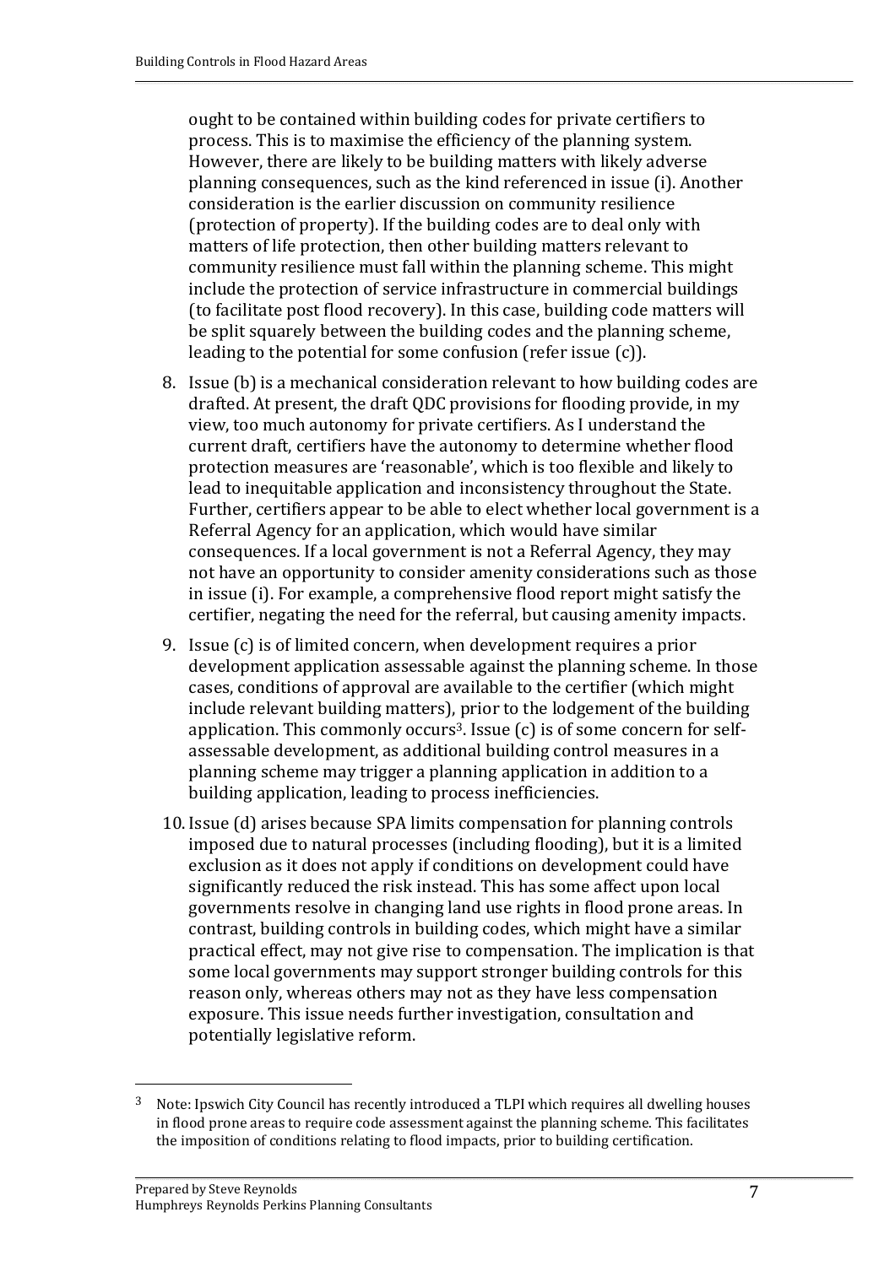ought to be contained within building codes for private certifiers to process. This is to maximise the efficiency of the planning system. However, there are likely to be building matters with likely adverse planning consequences, such as the kind referenced in issue (i). Another consideration is the earlier discussion on community resilience (protection of property). If the building codes are to deal only with matters of life protection, then other building matters relevant to community resilience must fall within the planning scheme. This might include the protection of service infrastructure in commercial buildings (to facilitate post flood recovery). In this case, building code matters will be split squarely between the building codes and the planning scheme, leading to the potential for some confusion (refer issue (c)).

- 8. Issue (b) is a mechanical consideration relevant to how building codes are drafted. At present, the draft QDC provisions for flooding provide, in my view, too much autonomy for private certifiers. As I understand the current draft, certifiers have the autonomy to determine whether flood protection measures are 'reasonable', which is too flexible and likely to lead to inequitable application and inconsistency throughout the State. Further, certifiers appear to be able to elect whether local government is a Referral Agency for an application, which would have similar consequences. If a local government is not a Referral Agency, they may not have an opportunity to consider amenity considerations such as those in issue (i). For example, a comprehensive flood report might satisfy the certifier, negating the need for the referral, but causing amenity impacts.
- 9. Issue (c) is of limited concern, when development requires a prior development application assessable against the planning scheme. In those cases, conditions of approval are available to the certifier (which might include relevant building matters), prior to the lodgement of the building application. This commonly occurs<sup>3</sup>. Issue  $(c)$  is of some concern for selfassessable development, as additional building control measures in a planning scheme may trigger a planning application in addition to a building application, leading to process inefficiencies.
- 10. Issue (d) arises because SPA limits compensation for planning controls imposed due to natural processes (including flooding), but it is a limited exclusion as it does not apply if conditions on development could have significantly reduced the risk instead. This has some affect upon local governments resolve in changing land use rights in flood prone areas. In contrast, building controls in building codes, which might have a similar practical effect, may not give rise to compensation. The implication is that some local governments may support stronger building controls for this reason only, whereas others may not as they have less compensation exposure. This issue needs further investigation, consultation and potentially legislative reform.

<sup>&</sup>lt;sup>3</sup> Note: Ipswich City Council has recently introduced a TLPI which requires all dwelling houses in flood prone areas to require code assessment against the planning scheme. This facilitates the imposition of conditions relating to flood impacts, prior to building certification.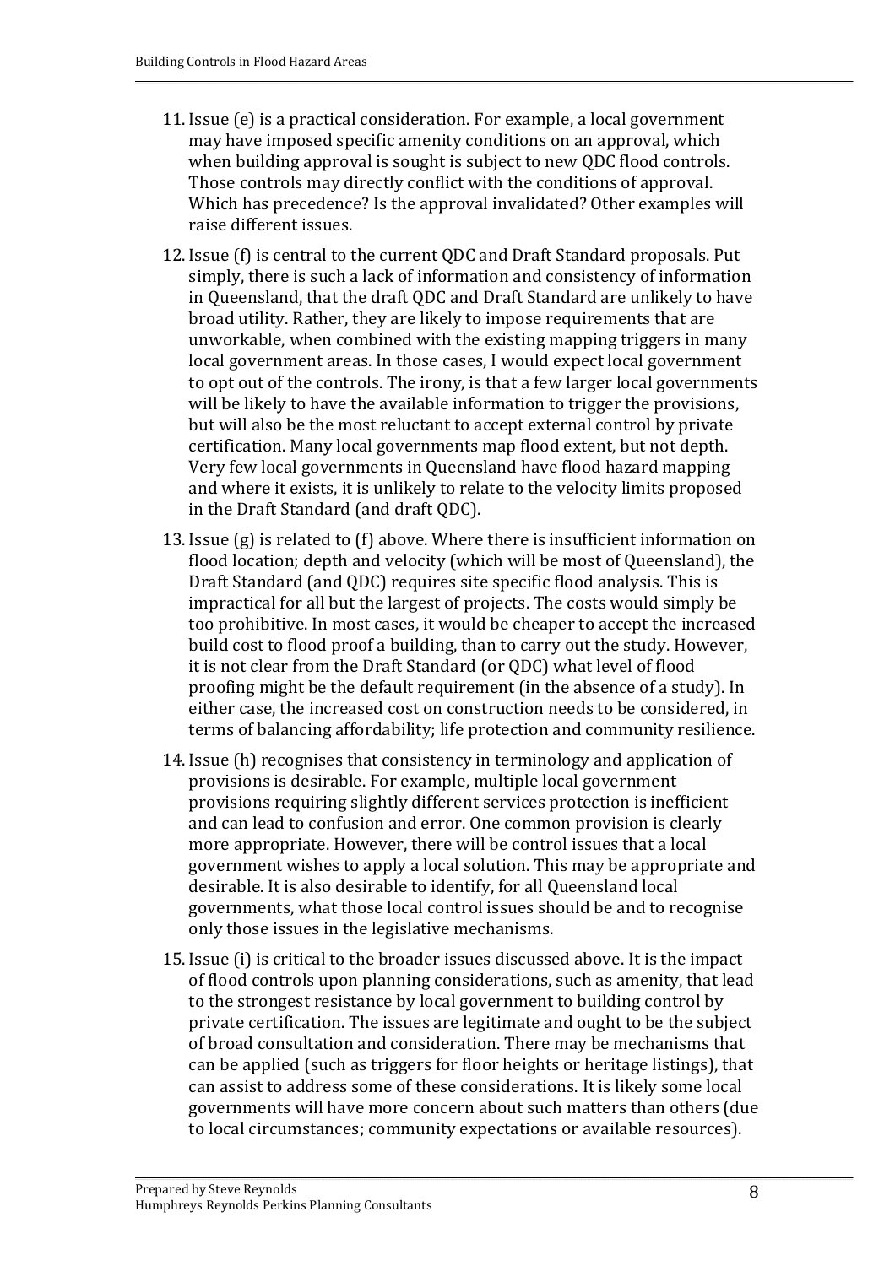- 11. Issue (e) is a practical consideration. For example, a local government may have imposed specific amenity conditions on an approval, which when building approval is sought is subject to new QDC flood controls. Those controls may directly conflict with the conditions of approval. Which has precedence? Is the approval invalidated? Other examples will raise different issues.
- 12. Issue (f) is central to the current QDC and Draft Standard proposals. Put simply, there is such a lack of information and consistency of information in Queensland, that the draft QDC and Draft Standard are unlikely to have broad utility. Rather, they are likely to impose requirements that are unworkable, when combined with the existing mapping triggers in many local government areas. In those cases, I would expect local government to opt out of the controls. The irony, is that a few larger local governments will be likely to have the available information to trigger the provisions, but will also be the most reluctant to accept external control by private certification. Many local governments map flood extent, but not depth. Very few local governments in Queensland have flood hazard mapping and where it exists, it is unlikely to relate to the velocity limits proposed in the Draft Standard (and draft QDC).
- 13. Issue (g) is related to (f) above. Where there is insufficient information on flood location; depth and velocity (which will be most of Queensland), the Draft Standard (and QDC) requires site specific flood analysis. This is impractical for all but the largest of projects. The costs would simply be too prohibitive. In most cases, it would be cheaper to accept the increased build cost to flood proof a building, than to carry out the study. However, it is not clear from the Draft Standard (or QDC) what level of flood proofing might be the default requirement (in the absence of a study). In either case, the increased cost on construction needs to be considered, in terms of balancing affordability; life protection and community resilience.
- 14. Issue (h) recognises that consistency in terminology and application of provisions is desirable. For example, multiple local government provisions requiring slightly different services protection is inefficient and can lead to confusion and error. One common provision is clearly more appropriate. However, there will be control issues that a local government wishes to apply a local solution. This may be appropriate and desirable. It is also desirable to identify, for all Queensland local governments, what those local control issues should be and to recognise only those issues in the legislative mechanisms.
- 15. Issue (i) is critical to the broader issues discussed above. It is the impact of flood controls upon planning considerations, such as amenity, that lead to the strongest resistance by local government to building control by private certification. The issues are legitimate and ought to be the subject of broad consultation and consideration. There may be mechanisms that can be applied (such as triggers for floor heights or heritage listings), that can assist to address some of these considerations. It is likely some local governments will have more concern about such matters than others (due to local circumstances; community expectations or available resources).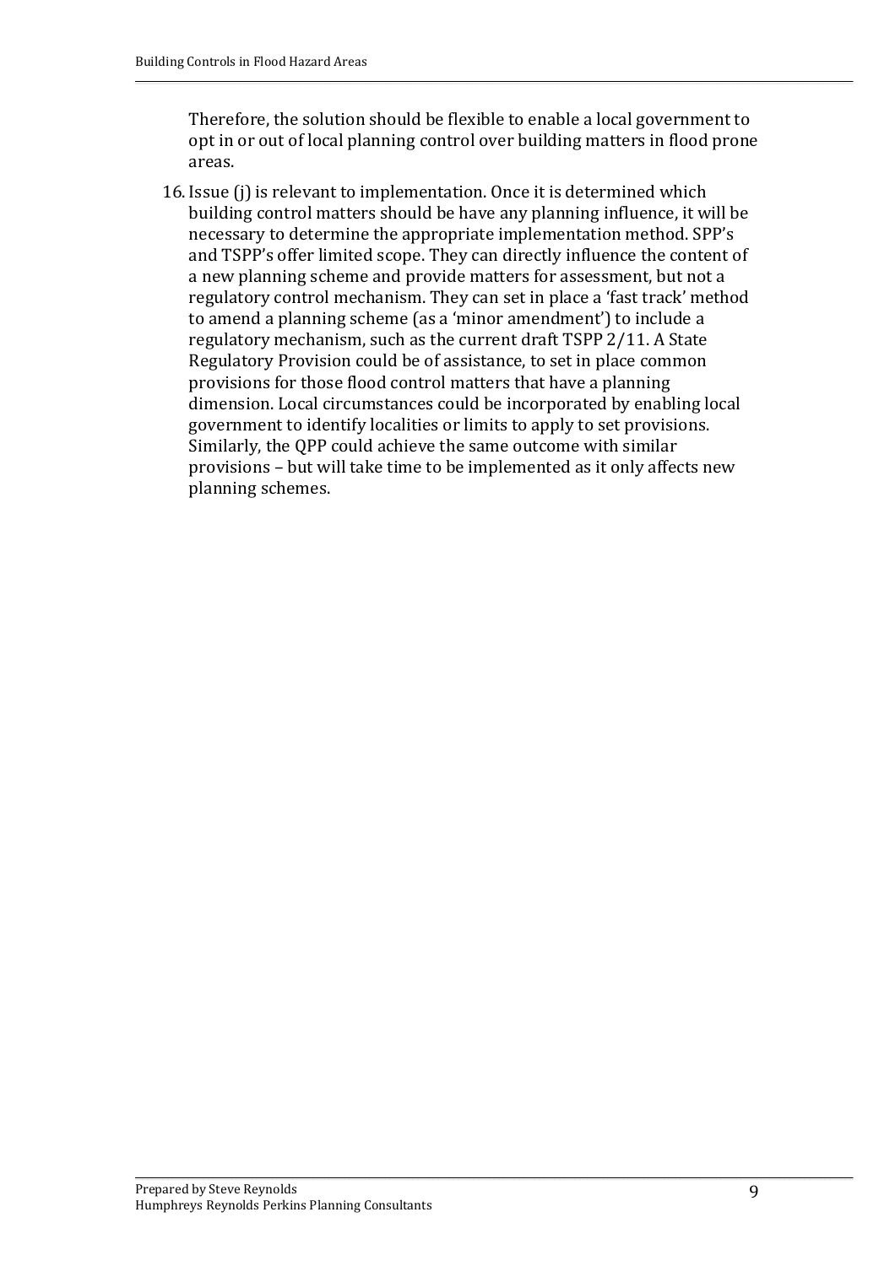Therefore, the solution should be flexible to enable a local government to opt in or out of local planning control over building matters in flood prone areas.

16. Issue (j) is relevant to implementation. Once it is determined which building control matters should be have any planning influence, it will be necessary to determine the appropriate implementation method. SPP's and TSPP's offer limited scope. They can directly influence the content of a new planning scheme and provide matters for assessment, but not a regulatory control mechanism. They can set in place a 'fast track' method to amend a planning scheme (as a 'minor amendment') to include a regulatory mechanism, such as the current draft TSPP 2/11. A State Regulatory Provision could be of assistance, to set in place common provisions for those flood control matters that have a planning dimension. Local circumstances could be incorporated by enabling local government to identify localities or limits to apply to set provisions. Similarly, the QPP could achieve the same outcome with similar provisions – but will take time to be implemented as it only affects new planning schemes.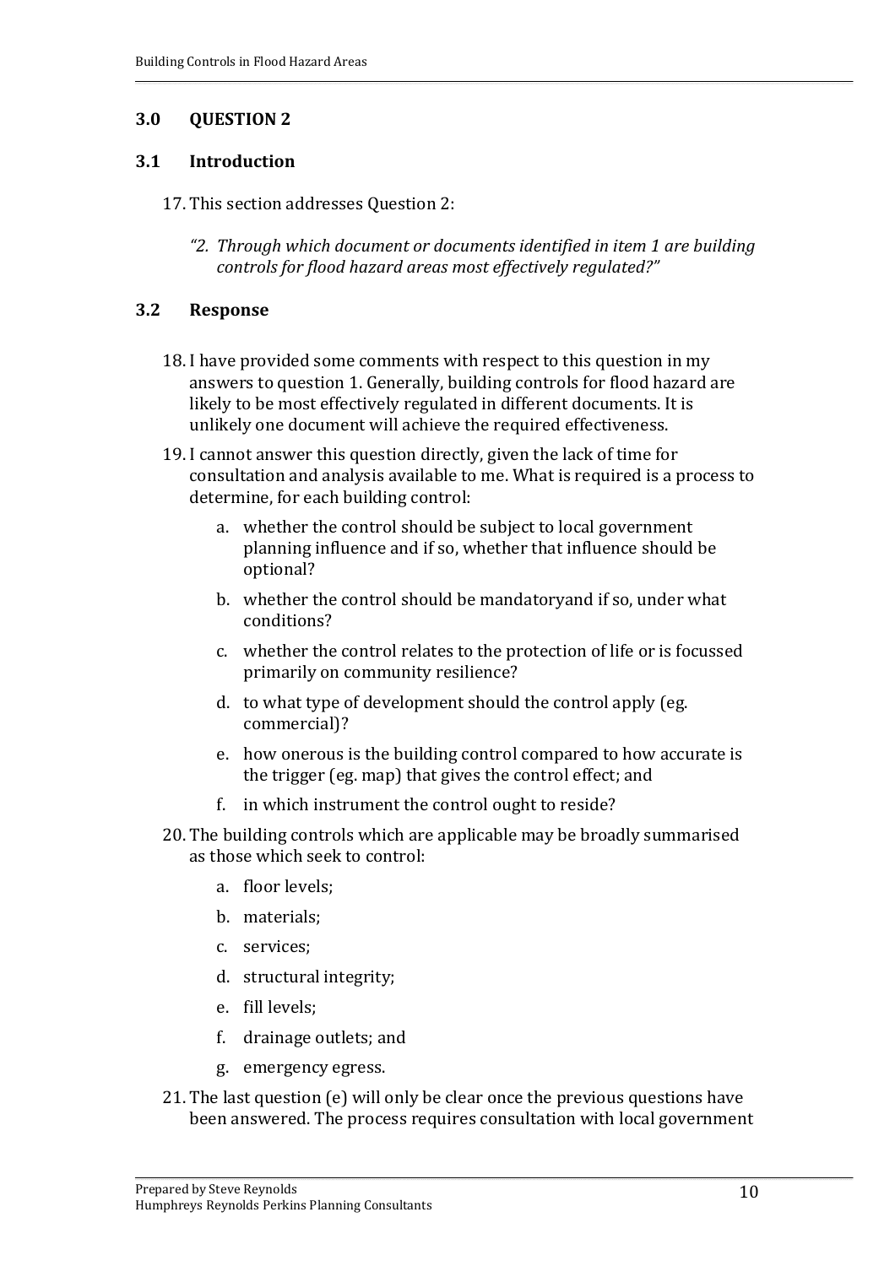#### **3.1 Introduction**

- 17. This section addresses Question 2:
	- *"2. Through which document or documents identified in item 1 are building controls for flood hazard areas most effectively regulated?"*

#### **3.2 Response**

- 18. I have provided some comments with respect to this question in my answers to question 1. Generally, building controls for flood hazard are likely to be most effectively regulated in different documents. It is unlikely one document will achieve the required effectiveness.
- 19. I cannot answer this question directly, given the lack of time for consultation and analysis available to me. What is required is a process to determine, for each building control:
	- a. whether the control should be subject to local government planning influence and if so, whether that influence should be optional?
	- b. whether the control should be mandatoryand if so, under what conditions?
	- c. whether the control relates to the protection of life or is focussed primarily on community resilience?
	- d. to what type of development should the control apply (eg. commercial)?
	- e. how onerous is the building control compared to how accurate is the trigger (eg. map) that gives the control effect; and
	- f. in which instrument the control ought to reside?
- 20. The building controls which are applicable may be broadly summarised as those which seek to control:
	- a. floor levels;
	- b. materials;
	- c. services;
	- d. structural integrity;
	- e. fill levels;
	- f. drainage outlets; and
	- g. emergency egress.
- 21. The last question (e) will only be clear once the previous questions have been answered. The process requires consultation with local government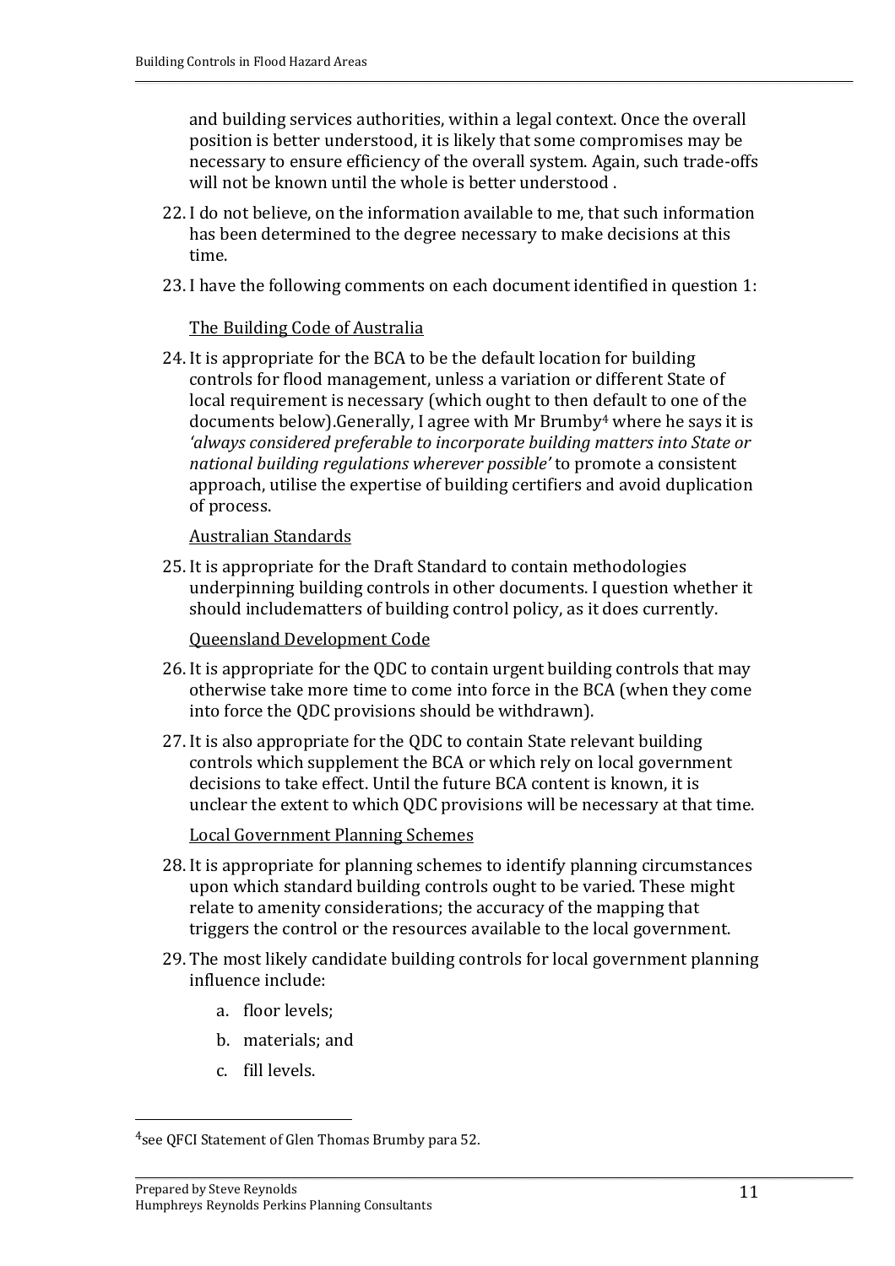and building services authorities, within a legal context. Once the overall position is better understood, it is likely that some compromises may be necessary to ensure efficiency of the overall system. Again, such trade‐offs will not be known until the whole is better understood .

- 22. I do not believe, on the information available to me, that such information has been determined to the degree necessary to make decisions at this time.
- 23. I have the following comments on each document identified in question 1:

#### The Building Code of Australia

24. It is appropriate for the BCA to be the default location for building controls for flood management, unless a variation or different State of local requirement is necessary (which ought to then default to one of the documents below).Generally, I agree with Mr Brumby4 where he says it is *'always considered preferable to incorporate building matters into State or national building regulations wherever possible'* to promote a consistent approach, utilise the expertise of building certifiers and avoid duplication of process.

Australian Standards

25. It is appropriate for the Draft Standard to contain methodologies underpinning building controls in other documents. I question whether it should includematters of building control policy, as it does currently.

Queensland Development Code

- 26. It is appropriate for the QDC to contain urgent building controls that may otherwise take more time to come into force in the BCA (when they come into force the QDC provisions should be withdrawn).
- 27. It is also appropriate for the QDC to contain State relevant building controls which supplement the BCA or which rely on local government decisions to take effect. Until the future BCA content is known, it is unclear the extent to which QDC provisions will be necessary at that time.

Local Government Planning Schemes

- 28. It is appropriate for planning schemes to identify planning circumstances upon which standard building controls ought to be varied. These might relate to amenity considerations; the accuracy of the mapping that triggers the control or the resources available to the local government.
- 29. The most likely candidate building controls for local government planning influence include:
	- a. floor levels;
	- b. materials; and
	- c. fill levels.

<sup>4</sup>see QFCI Statement of Glen Thomas Brumby para 52.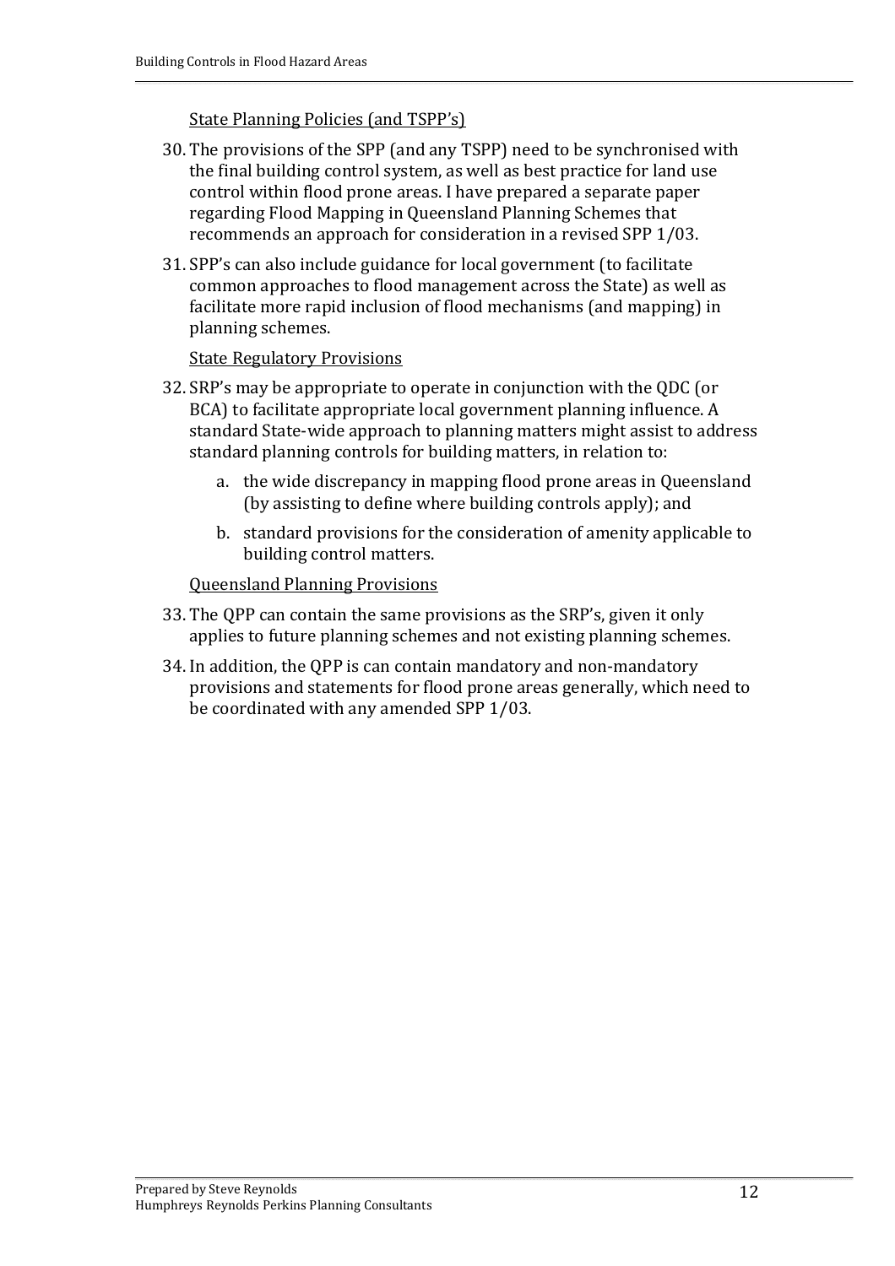#### State Planning Policies (and TSPP's)

- 30. The provisions of the SPP (and any TSPP) need to be synchronised with the final building control system, as well as best practice for land use control within flood prone areas. I have prepared a separate paper regarding Flood Mapping in Queensland Planning Schemes that recommends an approach for consideration in a revised SPP 1/03.
- 31. SPP's can also include guidance for local government (to facilitate common approaches to flood management across the State) as well as facilitate more rapid inclusion of flood mechanisms (and mapping) in planning schemes.

#### State Regulatory Provisions

- 32. SRP's may be appropriate to operate in conjunction with the QDC (or BCA) to facilitate appropriate local government planning influence. A standard State‐wide approach to planning matters might assist to address standard planning controls for building matters, in relation to:
	- a. the wide discrepancy in mapping flood prone areas in Queensland (by assisting to define where building controls apply); and
	- b. standard provisions for the consideration of amenity applicable to building control matters.

Queensland Planning Provisions

- 33. The QPP can contain the same provisions as the SRP's, given it only applies to future planning schemes and not existing planning schemes.
- 34. In addition, the QPP is can contain mandatory and non‐mandatory provisions and statements for flood prone areas generally, which need to be coordinated with any amended SPP 1/03.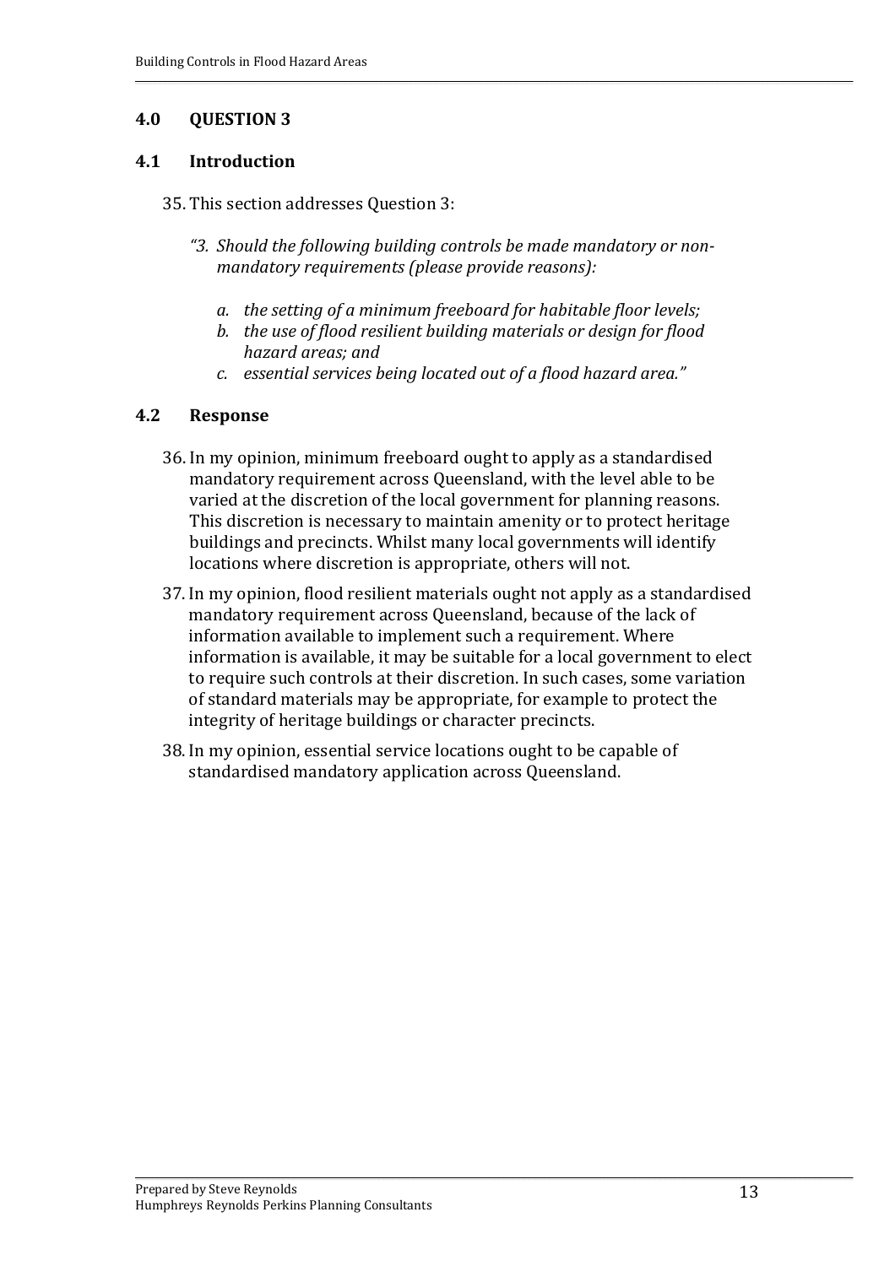#### **4.1 Introduction**

- 35. This section addresses Question 3:
	- *"3. Should the following building controls be made mandatory or nonmandatory requirements (please provide reasons):*
		- *a. the setting of a minimum freeboard for habitable floor levels;*
		- *b. the use of flood resilient building materials or design for flood hazard areas; and*
		- *c. essential services being located out of a flood hazard area."*

### **4.2 Response**

- 36. In my opinion, minimum freeboard ought to apply as a standardised mandatory requirement across Queensland, with the level able to be varied at the discretion of the local government for planning reasons. This discretion is necessary to maintain amenity or to protect heritage buildings and precincts. Whilst many local governments will identify locations where discretion is appropriate, others will not.
- 37. In my opinion, flood resilient materials ought not apply as a standardised mandatory requirement across Queensland, because of the lack of information available to implement such a requirement. Where information is available, it may be suitable for a local government to elect to require such controls at their discretion. In such cases, some variation of standard materials may be appropriate, for example to protect the integrity of heritage buildings or character precincts.
- 38. In my opinion, essential service locations ought to be capable of standardised mandatory application across Queensland.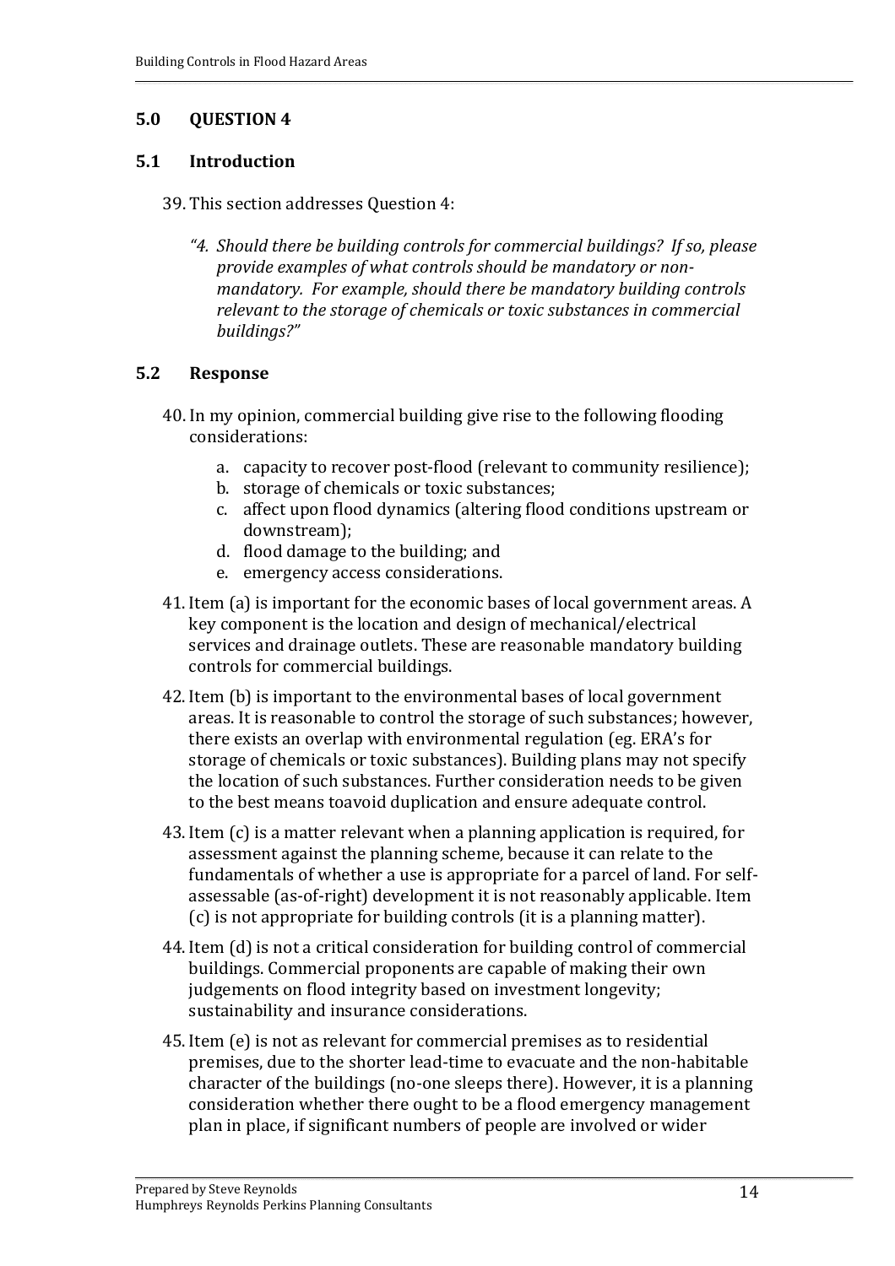#### **5.1 Introduction**

- 39. This section addresses Question 4:
	- *"4. Should there be building controls for commercial buildings? If so, please provide examples of what controls should be mandatory or nonmandatory. For example, should there be mandatory building controls relevant to the storage of chemicals or toxic substances in commercial buildings?"*

### **5.2 Response**

- 40. In my opinion, commercial building give rise to the following flooding considerations:
	- a. capacity to recover post‐flood (relevant to community resilience);
	- b. storage of chemicals or toxic substances;
	- c. affect upon flood dynamics (altering flood conditions upstream or downstream);
	- d. flood damage to the building; and
	- e. emergency access considerations.
- 41. Item (a) is important for the economic bases of local government areas. A key component is the location and design of mechanical/electrical services and drainage outlets. These are reasonable mandatory building controls for commercial buildings.
- 42. Item (b) is important to the environmental bases of local government areas. It is reasonable to control the storage of such substances; however, there exists an overlap with environmental regulation (eg. ERA's for storage of chemicals or toxic substances). Building plans may not specify the location of such substances. Further consideration needs to be given to the best means toavoid duplication and ensure adequate control.
- 43. Item (c) is a matter relevant when a planning application is required, for assessment against the planning scheme, because it can relate to the fundamentals of whether a use is appropriate for a parcel of land. For self‐ assessable (as‐of‐right) development it is not reasonably applicable. Item (c) is not appropriate for building controls (it is a planning matter).
- 44. Item (d) is not a critical consideration for building control of commercial buildings. Commercial proponents are capable of making their own judgements on flood integrity based on investment longevity; sustainability and insurance considerations.
- 45. Item (e) is not as relevant for commercial premises as to residential premises, due to the shorter lead‐time to evacuate and the non‐habitable character of the buildings (no‐one sleeps there). However, it is a planning consideration whether there ought to be a flood emergency management plan in place, if significant numbers of people are involved or wider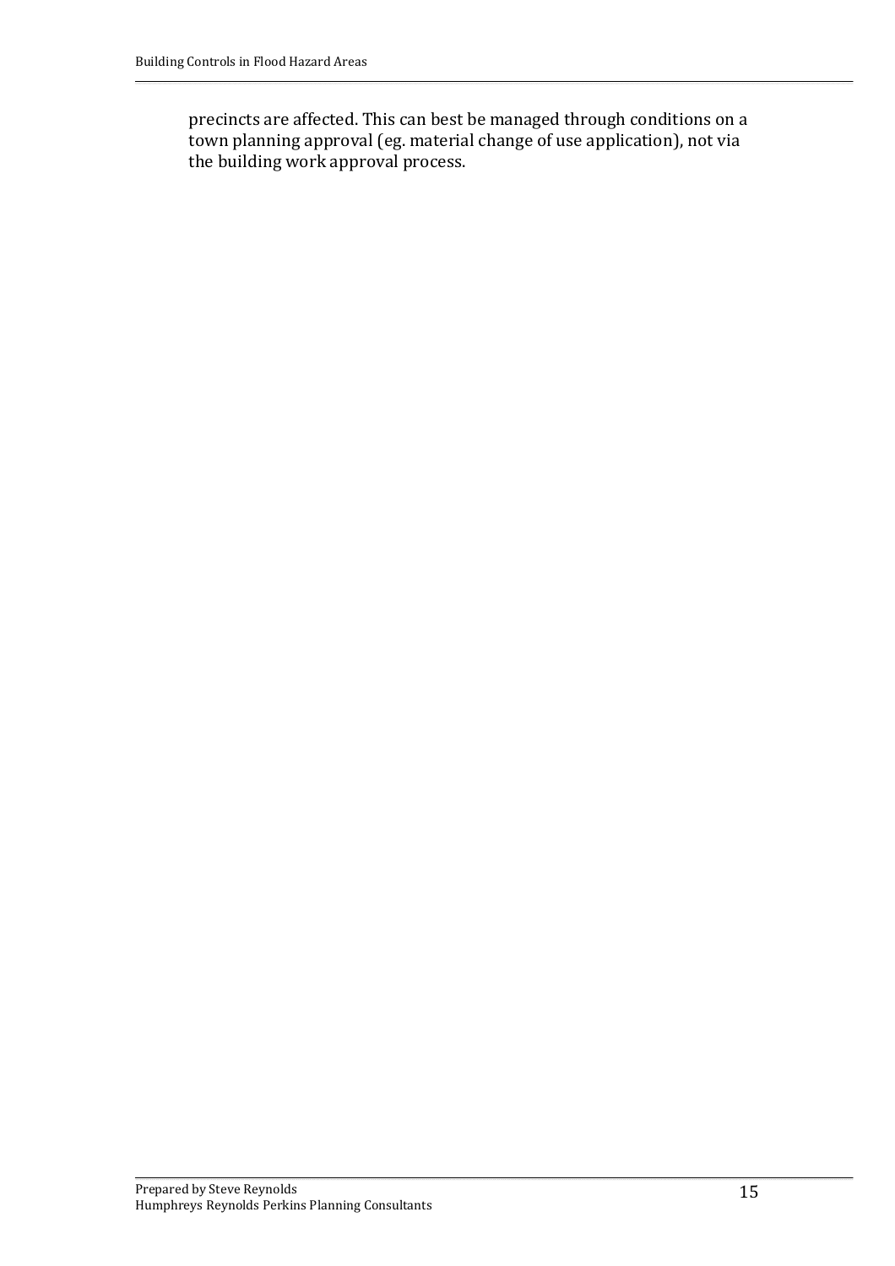precincts are affected. This can best be managed through conditions on a town planning approval (eg. material change of use application), not via the building work approval process.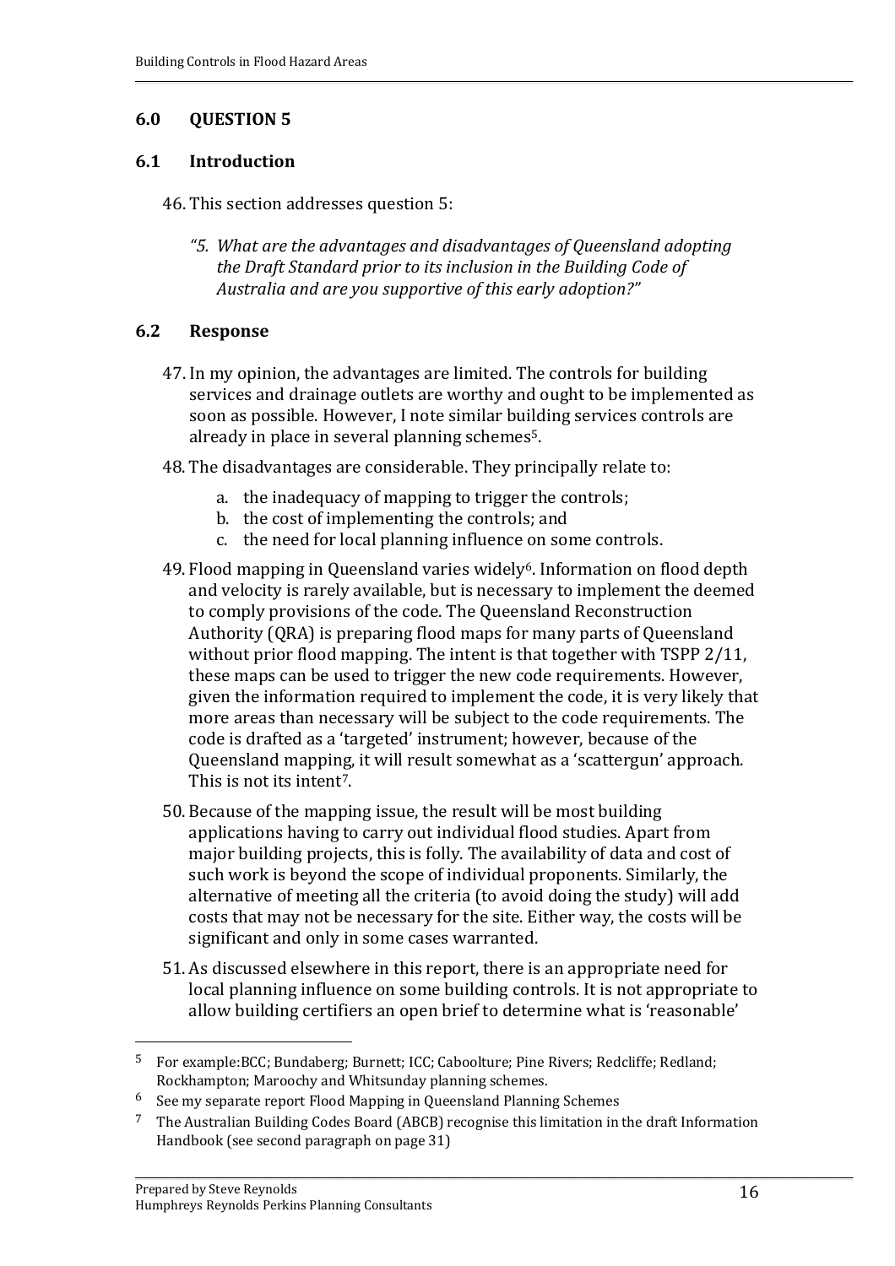#### **6.1 Introduction**

- 46. This section addresses question 5:
	- *"5. What are the advantages and disadvantages of Queensland adopting the Draft Standard prior to its inclusion in the Building Code of Australia and are you supportive of this early adoption?"*

### **6.2 Response**

- 47. In my opinion, the advantages are limited. The controls for building services and drainage outlets are worthy and ought to be implemented as soon as possible. However, I note similar building services controls are already in place in several planning schemes5.
- 48. The disadvantages are considerable. They principally relate to:
	- a. the inadequacy of mapping to trigger the controls;
	- b. the cost of implementing the controls; and
	- c. the need for local planning influence on some controls.
- 49. Flood mapping in Queensland varies widely6. Information on flood depth and velocity is rarely available, but is necessary to implement the deemed to comply provisions of the code. The Queensland Reconstruction Authority (QRA) is preparing flood maps for many parts of Queensland without prior flood mapping. The intent is that together with TSPP 2/11, these maps can be used to trigger the new code requirements. However, given the information required to implement the code, it is very likely that more areas than necessary will be subject to the code requirements. The code is drafted as a 'targeted' instrument; however, because of the Queensland mapping, it will result somewhat as a 'scattergun' approach. This is not its intent7.
- 50. Because of the mapping issue, the result will be most building applications having to carry out individual flood studies. Apart from major building projects, this is folly. The availability of data and cost of such work is beyond the scope of individual proponents. Similarly, the alternative of meeting all the criteria (to avoid doing the study) will add costs that may not be necessary for the site. Either way, the costs will be significant and only in some cases warranted.
- 51. As discussed elsewhere in this report, there is an appropriate need for local planning influence on some building controls. It is not appropriate to allow building certifiers an open brief to determine what is 'reasonable'

<sup>5</sup> For example:BCC; Bundaberg; Burnett; ICC; Caboolture; Pine Rivers; Redcliffe; Redland; Rockhampton; Maroochy and Whitsunday planning schemes.

<sup>6</sup> See my separate report Flood Mapping in Queensland Planning Schemes

<sup>7</sup> The Australian Building Codes Board (ABCB) recognise this limitation in the draft Information Handbook (see second paragraph on page 31)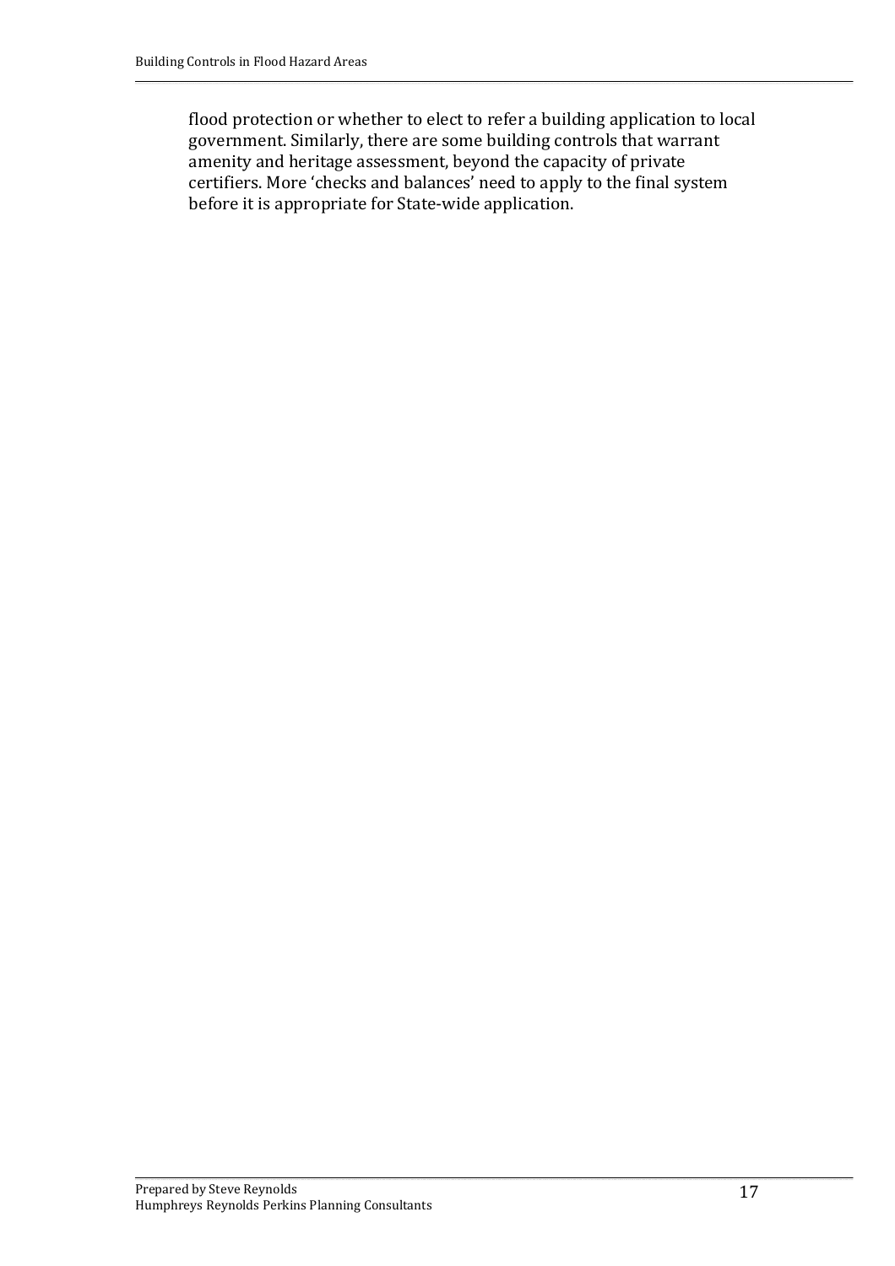flood protection or whether to elect to refer a building application to local government. Similarly, there are some building controls that warrant amenity and heritage assessment, beyond the capacity of private certifiers. More 'checks and balances' need to apply to the final system before it is appropriate for State‐wide application.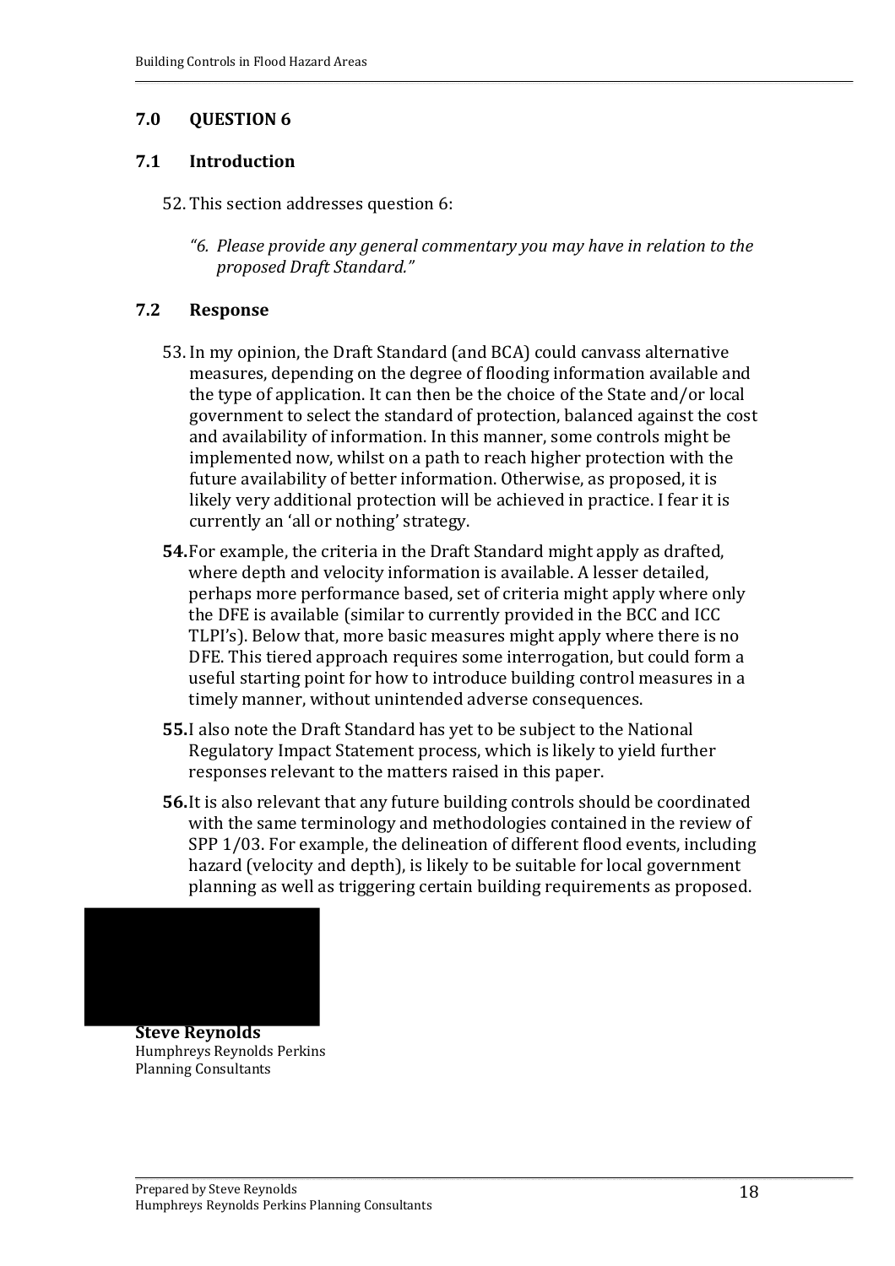#### **7.1 Introduction**

- 52. This section addresses question 6:
	- *"6. Please provide any general commentary you may have in relation to the proposed Draft Standard."*

#### **7.2 Response**

- 53. In my opinion, the Draft Standard (and BCA) could canvass alternative measures, depending on the degree of flooding information available and the type of application. It can then be the choice of the State and/or local government to select the standard of protection, balanced against the cost and availability of information. In this manner, some controls might be implemented now, whilst on a path to reach higher protection with the future availability of better information. Otherwise, as proposed, it is likely very additional protection will be achieved in practice. I fear it is currently an 'all or nothing' strategy.
- **54.**For example, the criteria in the Draft Standard might apply as drafted, where depth and velocity information is available. A lesser detailed, perhaps more performance based, set of criteria might apply where only the DFE is available (similar to currently provided in the BCC and ICC TLPI's). Below that, more basic measures might apply where there is no DFE. This tiered approach requires some interrogation, but could form a useful starting point for how to introduce building control measures in a timely manner, without unintended adverse consequences.
- **55.**I also note the Draft Standard has yet to be subject to the National Regulatory Impact Statement process, which is likely to yield further responses relevant to the matters raised in this paper.
- **56.**It is also relevant that any future building controls should be coordinated with the same terminology and methodologies contained in the review of SPP 1/03. For example, the delineation of different flood events, including hazard (velocity and depth), is likely to be suitable for local government planning as well as triggering certain building requirements as proposed.



**Steve Reynolds** Humphreys Reynolds Perkins Planning Consultants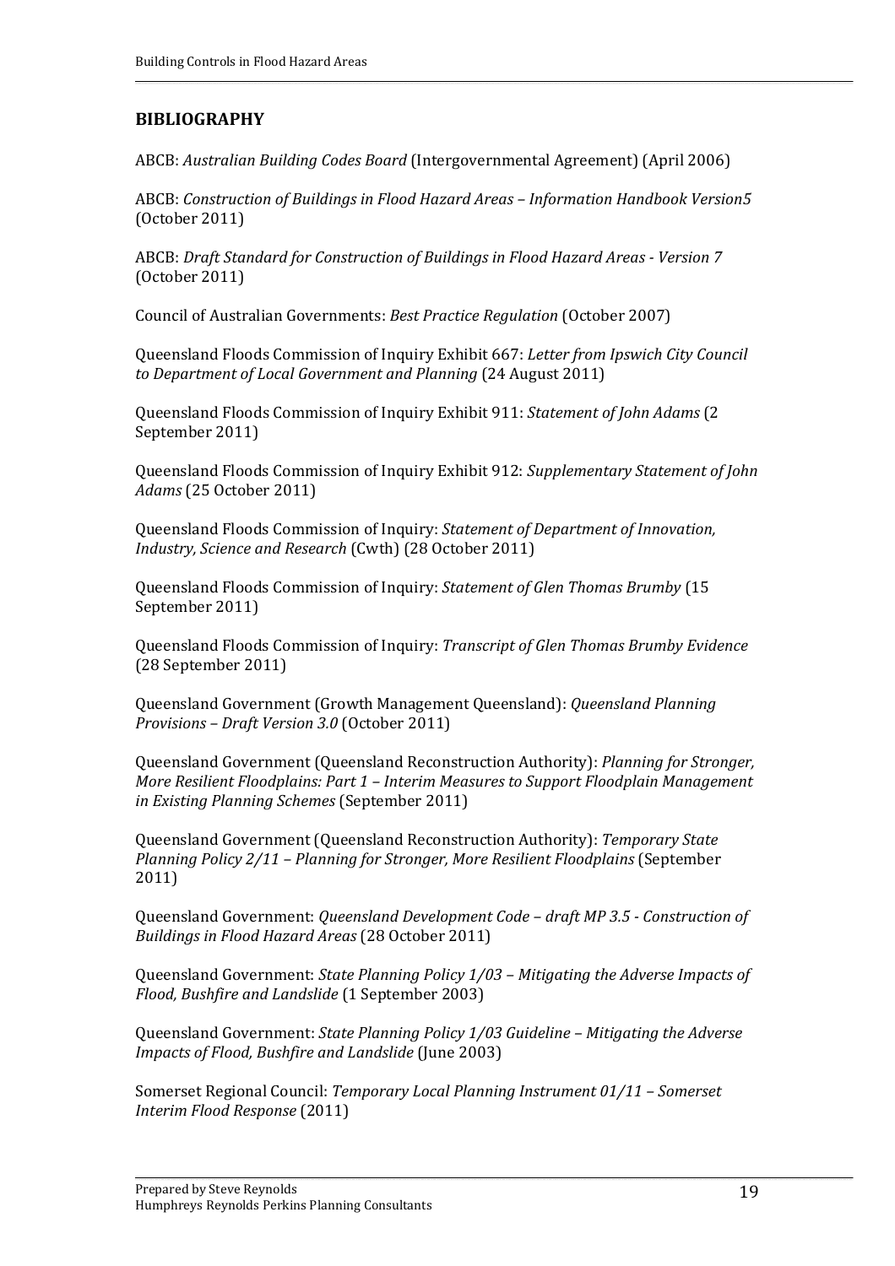#### **BIBLIOGRAPHY**

ABCB: *Australian Building Codes Board* (Intergovernmental Agreement) (April 2006)

ABCB: *Construction of Buildings in Flood Hazard Areas – Information Handbook Version5* (October 2011)

ABCB: *Draft Standard for Construction of Buildings in Flood Hazard Areas Version 7* (October 2011)

Council of Australian Governments: *Best Practice Regulation* (October 2007)

Queensland Floods Commission of Inquiry Exhibit 667: *Letter from Ipswich City Council to Department of Local Government and Planning* (24 August 2011)

Queensland Floods Commission of Inquiry Exhibit 911: *Statement of John Adams* (2 September 2011)

Queensland Floods Commission of Inquiry Exhibit 912: *Supplementary Statement of John Adams* (25 October 2011)

Queensland Floods Commission of Inquiry: *Statement of Department of Innovation, Industry, Science and Research* (Cwth) (28 October 2011)

Queensland Floods Commission of Inquiry: *Statement of Glen Thomas Brumby* (15 September 2011)

Queensland Floods Commission of Inquiry: *Transcript of Glen Thomas Brumby Evidence* (28 September 2011)

Queensland Government (Growth Management Queensland): *Queensland Planning Provisions – Draft Version 3.0* (October 2011)

Queensland Government (Queensland Reconstruction Authority): *Planning for Stronger, More Resilient Floodplains: Part 1 – Interim Measures to Support Floodplain Management in Existing Planning Schemes* (September 2011)

Queensland Government (Queensland Reconstruction Authority): *Temporary State Planning Policy 2/11 – Planning for Stronger, More Resilient Floodplains* (September 2011)

Queensland Government: *Queensland Development Code – draft MP 3.5 Construction of Buildings in Flood Hazard Areas* (28 October 2011)

Queensland Government: *State Planning Policy 1/03 – Mitigating the Adverse Impacts of Flood, Bushfire and Landslide* (1 September 2003)

Queensland Government: *State Planning Policy 1/03 Guideline – Mitigating the Adverse Impacts of Flood, Bushfire and Landslide* (June 2003)

Somerset Regional Council: *Temporary Local Planning Instrument 01/11 – Somerset Interim Flood Response* (2011)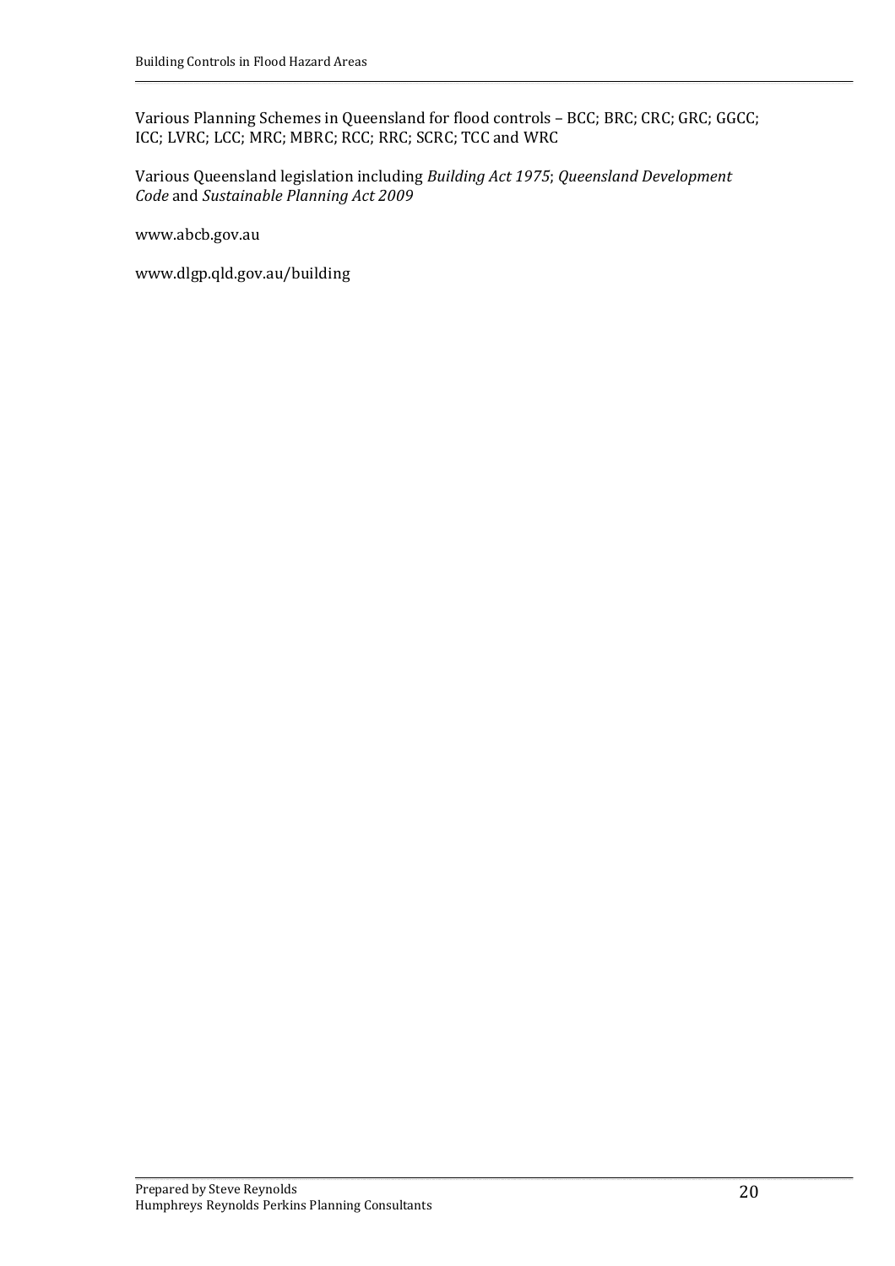Various Planning Schemes in Queensland for flood controls – BCC; BRC; CRC; GRC; GGCC; ICC; LVRC; LCC; MRC; MBRC; RCC; RRC; SCRC; TCC and WRC

Various Queensland legislation including *Building Act 1975*; *Queensland Development Code* and *Sustainable Planning Act 2009*

www.abcb.gov.au

www.dlgp.qld.gov.au/building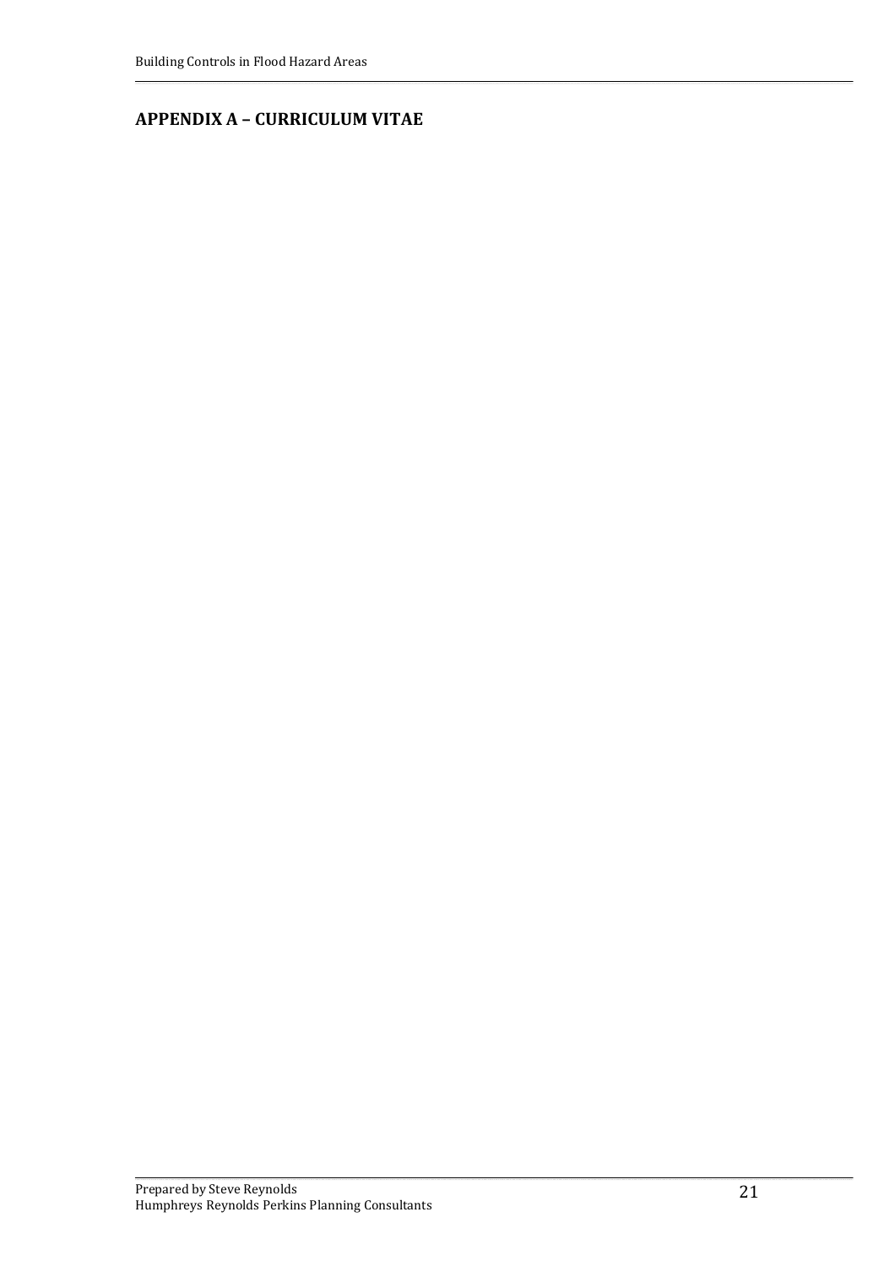### **APPENDIX A – CURRICULUM VITAE**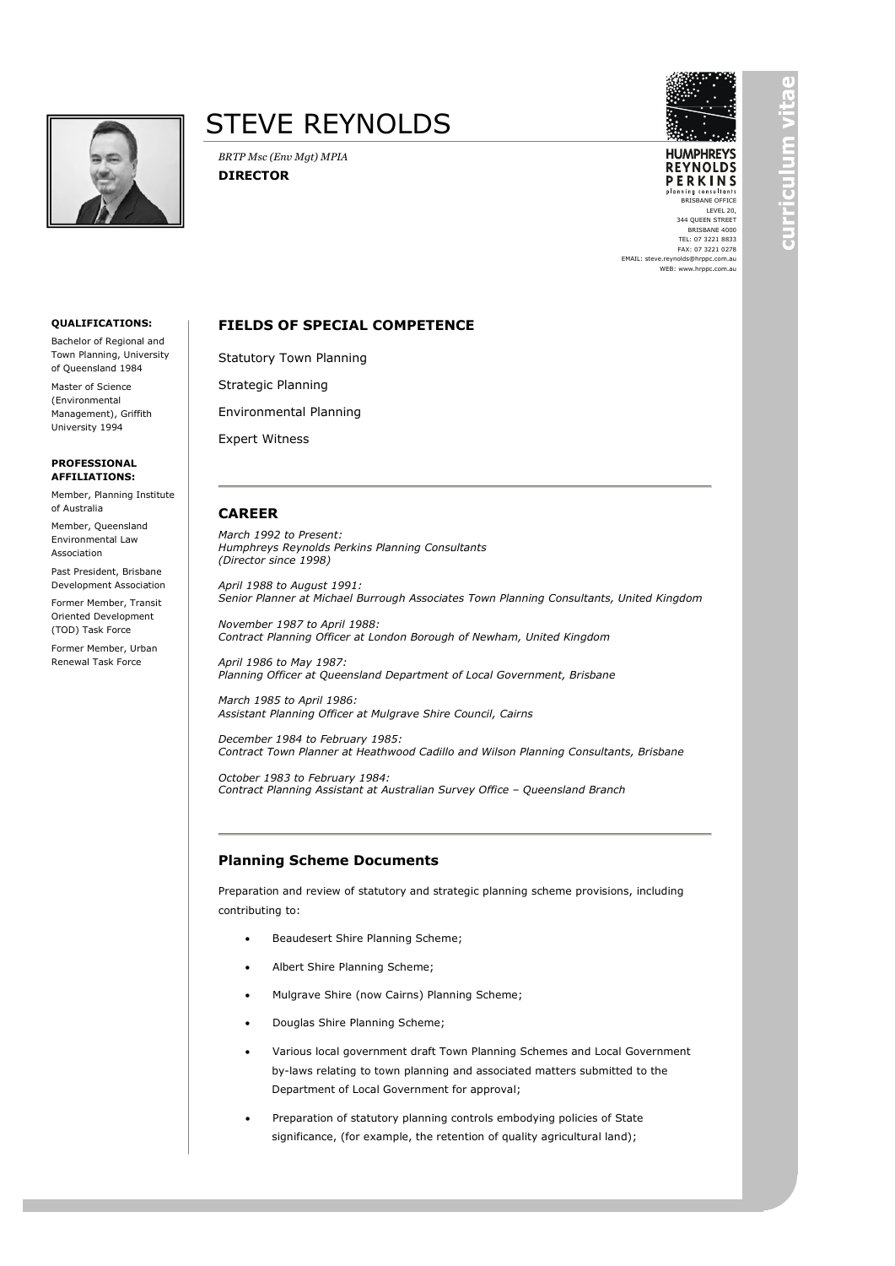



**HUMPHREYS REYNOLDS** PERKINS

BRISBANE OFFICE LEVEL 20, 344 QUEEN STREET BRISBANE 4000 TEL: 07 3221 8833 FAX: 07 3221 0278

EMAIL: steve.reynolds@hrppc.com.au WEB: www.hrppc.com.au

#### **FIELDS OF SPECIAL COMPETENCE**

Statutory Town Planning

*BRTP Msc (Env Mgt) MPIA*

**DIRECTOR**

Strategic Planning

Environmental Planning

Expert Witness

#### **CAREER**

*March 1992 to Present: Humphreys Reynolds Perkins Planning Consultants (Director since 1998)*

*April 1988 to August 1991: Senior Planner at Michael Burrough Associates Town Planning Consultants, United Kingdom*

*November 1987 to April 1988: Contract Planning Officer at London Borough of Newham, United Kingdom*

*April 1986 to May 1987: Planning Officer at Queensland Department of Local Government, Brisbane*

*March 1985 to April 1986: Assistant Planning Officer at Mulgrave Shire Council, Cairns*

*December 1984 to February 1985: Contract Town Planner at Heathwood Cadillo and Wilson Planning Consultants, Brisbane*

*October 1983 to February 1984: Contract Planning Assistant at Australian Survey Office – Queensland Branch*

#### **Planning Scheme Documents**

Preparation and review of statutory and strategic planning scheme provisions, including contributing to:

- Beaudesert Shire Planning Scheme;
- Albert Shire Planning Scheme;
- Mulgrave Shire (now Cairns) Planning Scheme;
- Douglas Shire Planning Scheme;
- Various local government draft Town Planning Schemes and Local Government by-laws relating to town planning and associated matters submitted to the Department of Local Government for approval;
- Preparation of statutory planning controls embodying policies of State significance, (for example, the retention of quality agricultural land);



Bachelor of Regional and Town Planning, University of Queensland 1984

Master of Science (Environmental Management), Griffith University 1994

**PROFESSIONAL AFFILIATIONS:**

Member, Planning Institute of Australia

Member, Queensland Environmental Law Association

Past President, Brisbane Development Association

Former Member, Transit Oriented Development (TOD) Task Force

Former Member, Urban Renewal Task Force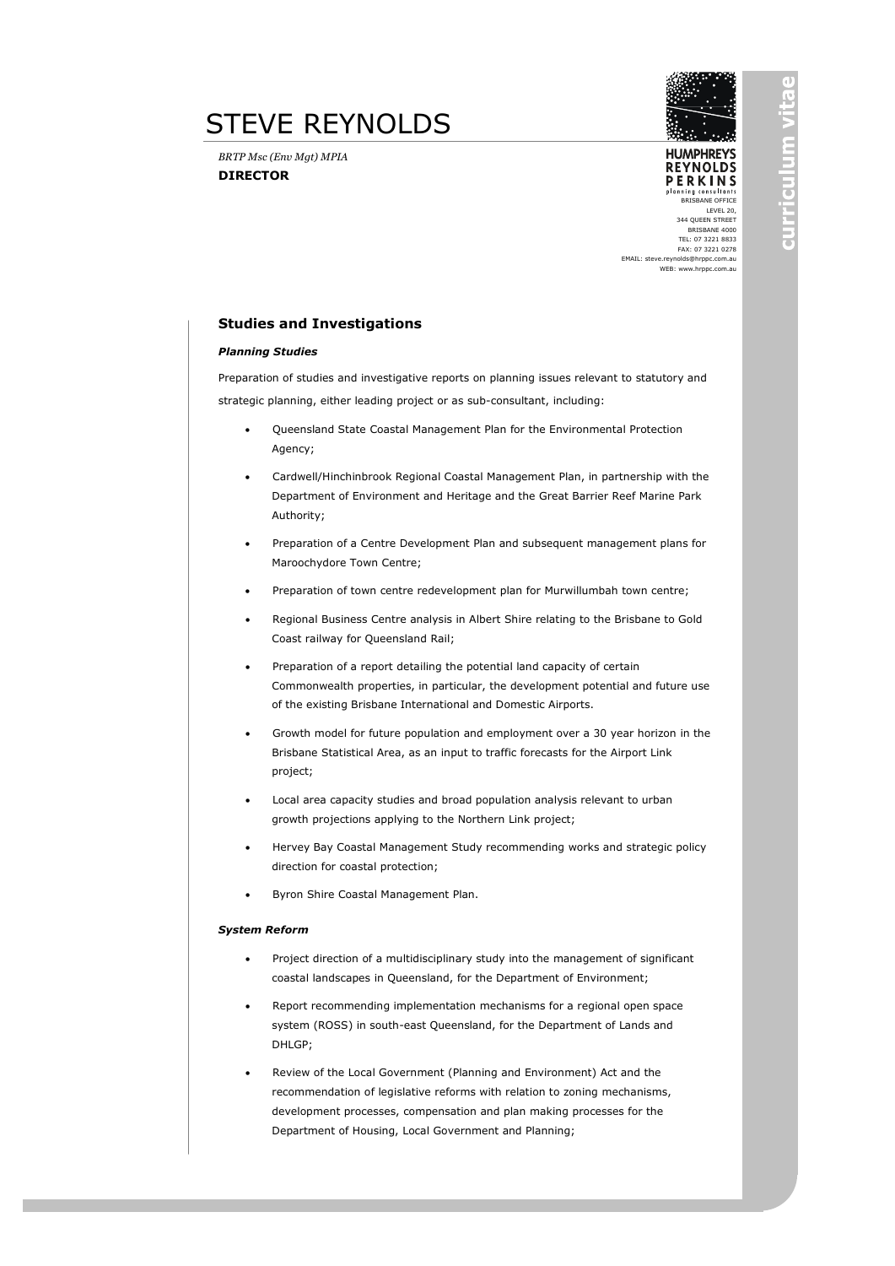## STEVE REYNOLDS

*BRTP Msc (Env Mgt) MPIA* **DIRECTOR**



**HUMPHRFYS REYNOLDS PERKINS** anning consultants

BRISBANE OFFICE LEVEL 20, 344 QUEEN STREET BRISBANE 4000 TEL: 07 3221 8833 FAX: 07 3221 0278

EMAIL: steve.reynolds@hrppc.com.au WEB: www.hrppc.com.au

#### **Studies and Investigations**

#### *Planning Studies*

Preparation of studies and investigative reports on planning issues relevant to statutory and strategic planning, either leading project or as sub-consultant, including:

- Queensland State Coastal Management Plan for the Environmental Protection Agency;
- Cardwell/Hinchinbrook Regional Coastal Management Plan, in partnership with the Department of Environment and Heritage and the Great Barrier Reef Marine Park Authority;
- Preparation of a Centre Development Plan and subsequent management plans for Maroochydore Town Centre;
- Preparation of town centre redevelopment plan for Murwillumbah town centre;
- Regional Business Centre analysis in Albert Shire relating to the Brisbane to Gold Coast railway for Queensland Rail;
- Preparation of a report detailing the potential land capacity of certain Commonwealth properties, in particular, the development potential and future use of the existing Brisbane International and Domestic Airports.
- Growth model for future population and employment over a 30 year horizon in the Brisbane Statistical Area, as an input to traffic forecasts for the Airport Link project;
- Local area capacity studies and broad population analysis relevant to urban growth projections applying to the Northern Link project;
- Hervey Bay Coastal Management Study recommending works and strategic policy direction for coastal protection;
- Byron Shire Coastal Management Plan.

#### *System Reform*

- Project direction of a multidisciplinary study into the management of significant coastal landscapes in Queensland, for the Department of Environment;
- Report recommending implementation mechanisms for a regional open space system (ROSS) in south-east Queensland, for the Department of Lands and DHLGP;
- Review of the Local Government (Planning and Environment) Act and the recommendation of legislative reforms with relation to zoning mechanisms, development processes, compensation and plan making processes for the Department of Housing, Local Government and Planning;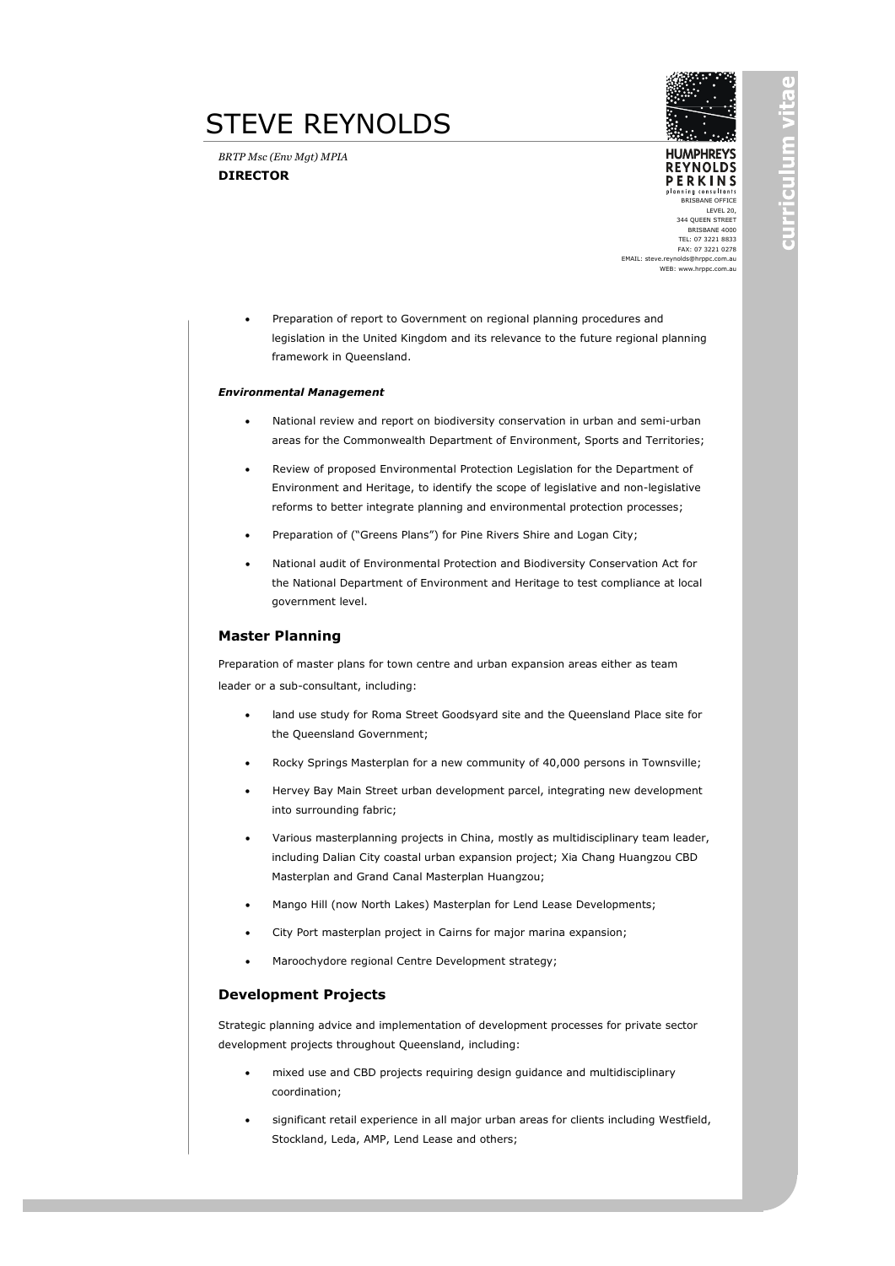## STEVE REYNOLDS

*BRTP Msc (Env Mgt) MPIA* **DIRECTOR**



**HUMPHRFYS REYNOLDS PERKINS** inning consultants

BRISBANE OFFICE LEVEL 20, 344 QUEEN STREET BRISBANE 4000 TEL: 07 3221 8833 FAX: 07 3221 0278

EMAIL: steve.reynolds@hrppc.com.au WEB: www.hrppc.com.au

• Preparation of report to Government on regional planning procedures and legislation in the United Kingdom and its relevance to the future regional planning framework in Queensland.

#### *Environmental Management*

- National review and report on biodiversity conservation in urban and semi-urban areas for the Commonwealth Department of Environment, Sports and Territories;
- Review of proposed Environmental Protection Legislation for the Department of Environment and Heritage, to identify the scope of legislative and non-legislative reforms to better integrate planning and environmental protection processes;
- Preparation of ("Greens Plans") for Pine Rivers Shire and Logan City;
- National audit of Environmental Protection and Biodiversity Conservation Act for the National Department of Environment and Heritage to test compliance at local government level.

#### **Master Planning**

Preparation of master plans for town centre and urban expansion areas either as team leader or a sub-consultant, including:

- land use study for Roma Street Goodsyard site and the Queensland Place site for the Queensland Government;
- Rocky Springs Masterplan for a new community of 40,000 persons in Townsville;
- Hervey Bay Main Street urban development parcel, integrating new development into surrounding fabric;
- Various masterplanning projects in China, mostly as multidisciplinary team leader, including Dalian City coastal urban expansion project; Xia Chang Huangzou CBD Masterplan and Grand Canal Masterplan Huangzou;
- Mango Hill (now North Lakes) Masterplan for Lend Lease Developments;
- City Port masterplan project in Cairns for major marina expansion;
- Maroochydore regional Centre Development strategy;

#### **Development Projects**

Strategic planning advice and implementation of development processes for private sector development projects throughout Queensland, including:

- mixed use and CBD projects requiring design guidance and multidisciplinary coordination;
- significant retail experience in all major urban areas for clients including Westfield, Stockland, Leda, AMP, Lend Lease and others;